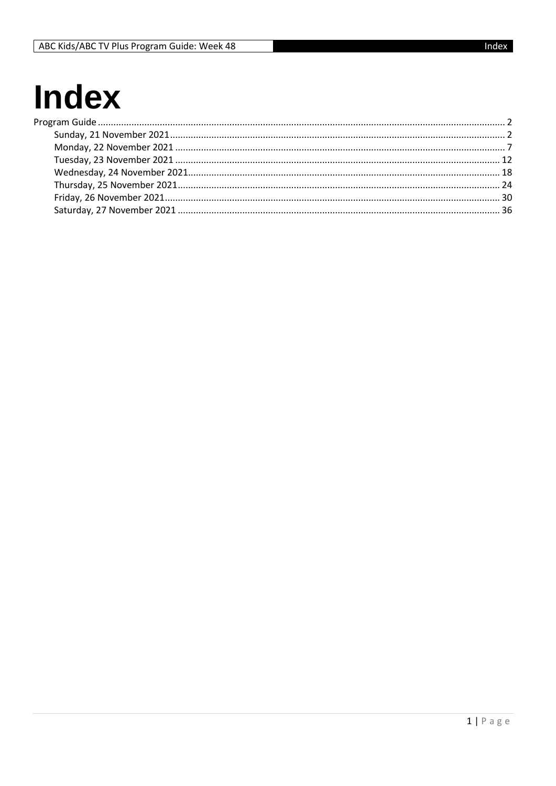## **Index**  $P<sub>l</sub>$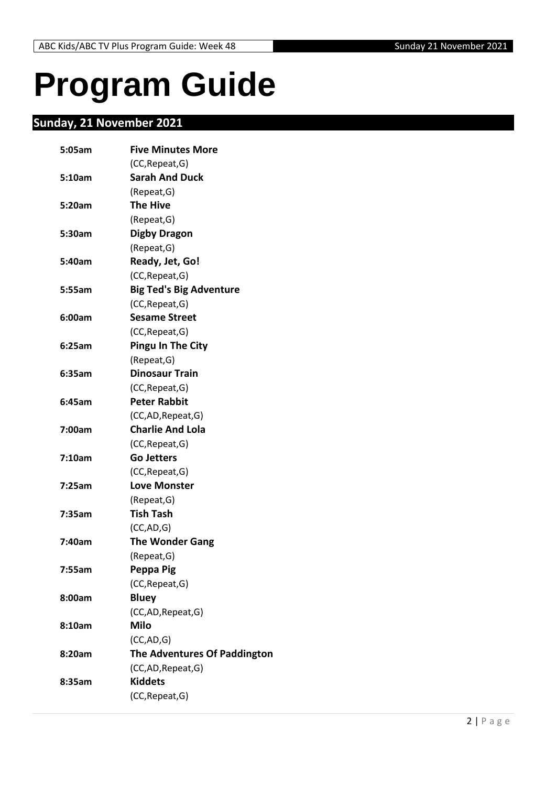# <span id="page-1-0"></span>**Program Guide**

## <span id="page-1-1"></span>**Sunday, 21 November 2021**

| 5:05am | <b>Five Minutes More</b>       |
|--------|--------------------------------|
|        | (CC, Repeat, G)                |
| 5:10am | <b>Sarah And Duck</b>          |
|        | (Repeat, G)                    |
| 5:20am | <b>The Hive</b>                |
|        | (Repeat,G)                     |
| 5:30am | <b>Digby Dragon</b>            |
|        | (Repeat, G)                    |
| 5:40am | Ready, Jet, Go!                |
|        | (CC, Repeat, G)                |
| 5:55am | <b>Big Ted's Big Adventure</b> |
|        | (CC, Repeat, G)                |
| 6:00am | <b>Sesame Street</b>           |
|        | (CC, Repeat, G)                |
| 6:25am | <b>Pingu In The City</b>       |
|        | (Repeat, G)                    |
| 6:35am | <b>Dinosaur Train</b>          |
|        | (CC, Repeat, G)                |
| 6:45am | <b>Peter Rabbit</b>            |
|        | (CC,AD, Repeat, G)             |
| 7:00am | <b>Charlie And Lola</b>        |
|        | (CC, Repeat, G)                |
| 7:10am | <b>Go Jetters</b>              |
|        | (CC, Repeat, G)                |
| 7:25am | <b>Love Monster</b>            |
|        | (Repeat, G)                    |
| 7:35am | <b>Tish Tash</b>               |
|        | (CC, AD, G)                    |
| 7:40am | <b>The Wonder Gang</b>         |
|        | (Repeat, G)                    |
| 7:55am | Peppa Pig                      |
|        | (CC, Repeat, G)                |
| 8:00am | <b>Bluey</b>                   |
|        | (CC,AD, Repeat, G)             |
| 8:10am | <b>Milo</b>                    |
|        | (CC, AD, G)                    |
| 8:20am | The Adventures Of Paddington   |
|        | (CC,AD, Repeat, G)             |
| 8:35am | <b>Kiddets</b>                 |
|        | (CC, Repeat, G)                |
|        |                                |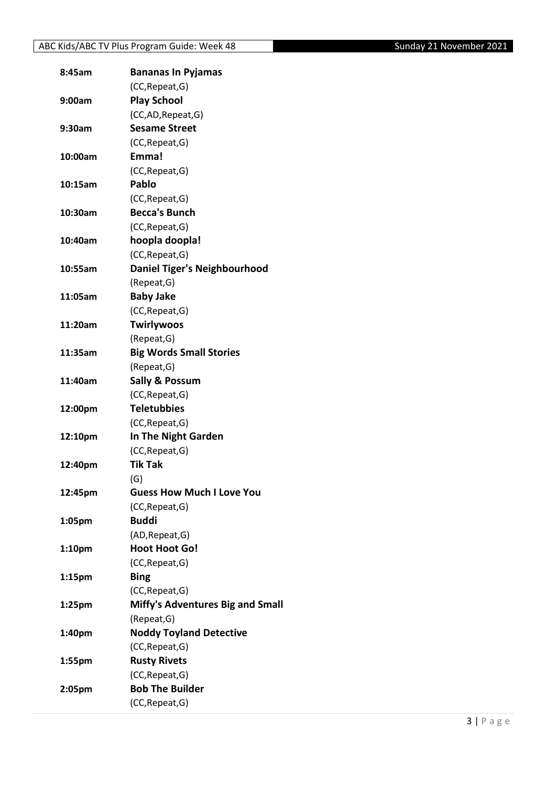| (CC, Repeat, G)<br><b>Play School</b><br>9:00am<br>(CC,AD, Repeat, G)<br><b>Sesame Street</b><br>9:30am<br>(CC, Repeat, G)<br>Emma!<br>10:00am<br>(CC, Repeat, G)<br>Pablo<br>10:15am<br>(CC, Repeat, G)<br><b>Becca's Bunch</b><br>10:30am<br>(CC, Repeat, G)<br>hoopla doopla!<br>10:40am<br>(CC, Repeat, G)<br><b>Daniel Tiger's Neighbourhood</b><br>10:55am<br>(Repeat, G)<br><b>Baby Jake</b><br>11:05am<br>(CC, Repeat, G)<br><b>Twirlywoos</b><br>11:20am<br>(Repeat, G)<br><b>Big Words Small Stories</b><br>11:35am<br>(Repeat, G)<br><b>Sally &amp; Possum</b><br>11:40am<br>(CC, Repeat, G)<br><b>Teletubbies</b><br>12:00pm<br>(CC, Repeat, G)<br>In The Night Garden<br>12:10pm<br>(CC, Repeat, G)<br><b>Tik Tak</b><br>12:40pm<br>(G)<br><b>Guess How Much I Love You</b><br>12:45pm<br>(CC, Repeat, G)<br><b>Buddi</b><br>1:05pm<br>(AD, Repeat, G)<br><b>Hoot Hoot Go!</b><br>1:10 <sub>pm</sub> |
|-------------------------------------------------------------------------------------------------------------------------------------------------------------------------------------------------------------------------------------------------------------------------------------------------------------------------------------------------------------------------------------------------------------------------------------------------------------------------------------------------------------------------------------------------------------------------------------------------------------------------------------------------------------------------------------------------------------------------------------------------------------------------------------------------------------------------------------------------------------------------------------------------------------------|
|                                                                                                                                                                                                                                                                                                                                                                                                                                                                                                                                                                                                                                                                                                                                                                                                                                                                                                                   |
|                                                                                                                                                                                                                                                                                                                                                                                                                                                                                                                                                                                                                                                                                                                                                                                                                                                                                                                   |
|                                                                                                                                                                                                                                                                                                                                                                                                                                                                                                                                                                                                                                                                                                                                                                                                                                                                                                                   |
|                                                                                                                                                                                                                                                                                                                                                                                                                                                                                                                                                                                                                                                                                                                                                                                                                                                                                                                   |
|                                                                                                                                                                                                                                                                                                                                                                                                                                                                                                                                                                                                                                                                                                                                                                                                                                                                                                                   |
|                                                                                                                                                                                                                                                                                                                                                                                                                                                                                                                                                                                                                                                                                                                                                                                                                                                                                                                   |
|                                                                                                                                                                                                                                                                                                                                                                                                                                                                                                                                                                                                                                                                                                                                                                                                                                                                                                                   |
|                                                                                                                                                                                                                                                                                                                                                                                                                                                                                                                                                                                                                                                                                                                                                                                                                                                                                                                   |
|                                                                                                                                                                                                                                                                                                                                                                                                                                                                                                                                                                                                                                                                                                                                                                                                                                                                                                                   |
|                                                                                                                                                                                                                                                                                                                                                                                                                                                                                                                                                                                                                                                                                                                                                                                                                                                                                                                   |
|                                                                                                                                                                                                                                                                                                                                                                                                                                                                                                                                                                                                                                                                                                                                                                                                                                                                                                                   |
|                                                                                                                                                                                                                                                                                                                                                                                                                                                                                                                                                                                                                                                                                                                                                                                                                                                                                                                   |
|                                                                                                                                                                                                                                                                                                                                                                                                                                                                                                                                                                                                                                                                                                                                                                                                                                                                                                                   |
|                                                                                                                                                                                                                                                                                                                                                                                                                                                                                                                                                                                                                                                                                                                                                                                                                                                                                                                   |
|                                                                                                                                                                                                                                                                                                                                                                                                                                                                                                                                                                                                                                                                                                                                                                                                                                                                                                                   |
|                                                                                                                                                                                                                                                                                                                                                                                                                                                                                                                                                                                                                                                                                                                                                                                                                                                                                                                   |
|                                                                                                                                                                                                                                                                                                                                                                                                                                                                                                                                                                                                                                                                                                                                                                                                                                                                                                                   |
|                                                                                                                                                                                                                                                                                                                                                                                                                                                                                                                                                                                                                                                                                                                                                                                                                                                                                                                   |
|                                                                                                                                                                                                                                                                                                                                                                                                                                                                                                                                                                                                                                                                                                                                                                                                                                                                                                                   |
|                                                                                                                                                                                                                                                                                                                                                                                                                                                                                                                                                                                                                                                                                                                                                                                                                                                                                                                   |
|                                                                                                                                                                                                                                                                                                                                                                                                                                                                                                                                                                                                                                                                                                                                                                                                                                                                                                                   |
|                                                                                                                                                                                                                                                                                                                                                                                                                                                                                                                                                                                                                                                                                                                                                                                                                                                                                                                   |
|                                                                                                                                                                                                                                                                                                                                                                                                                                                                                                                                                                                                                                                                                                                                                                                                                                                                                                                   |
|                                                                                                                                                                                                                                                                                                                                                                                                                                                                                                                                                                                                                                                                                                                                                                                                                                                                                                                   |
|                                                                                                                                                                                                                                                                                                                                                                                                                                                                                                                                                                                                                                                                                                                                                                                                                                                                                                                   |
|                                                                                                                                                                                                                                                                                                                                                                                                                                                                                                                                                                                                                                                                                                                                                                                                                                                                                                                   |
|                                                                                                                                                                                                                                                                                                                                                                                                                                                                                                                                                                                                                                                                                                                                                                                                                                                                                                                   |
|                                                                                                                                                                                                                                                                                                                                                                                                                                                                                                                                                                                                                                                                                                                                                                                                                                                                                                                   |
|                                                                                                                                                                                                                                                                                                                                                                                                                                                                                                                                                                                                                                                                                                                                                                                                                                                                                                                   |
|                                                                                                                                                                                                                                                                                                                                                                                                                                                                                                                                                                                                                                                                                                                                                                                                                                                                                                                   |
|                                                                                                                                                                                                                                                                                                                                                                                                                                                                                                                                                                                                                                                                                                                                                                                                                                                                                                                   |
|                                                                                                                                                                                                                                                                                                                                                                                                                                                                                                                                                                                                                                                                                                                                                                                                                                                                                                                   |
|                                                                                                                                                                                                                                                                                                                                                                                                                                                                                                                                                                                                                                                                                                                                                                                                                                                                                                                   |
|                                                                                                                                                                                                                                                                                                                                                                                                                                                                                                                                                                                                                                                                                                                                                                                                                                                                                                                   |
| (CC, Repeat, G)                                                                                                                                                                                                                                                                                                                                                                                                                                                                                                                                                                                                                                                                                                                                                                                                                                                                                                   |
| <b>Bing</b><br>1:15 <sub>pm</sub>                                                                                                                                                                                                                                                                                                                                                                                                                                                                                                                                                                                                                                                                                                                                                                                                                                                                                 |
| (CC, Repeat, G)                                                                                                                                                                                                                                                                                                                                                                                                                                                                                                                                                                                                                                                                                                                                                                                                                                                                                                   |
| <b>Miffy's Adventures Big and Small</b><br>1:25 <sub>pm</sub>                                                                                                                                                                                                                                                                                                                                                                                                                                                                                                                                                                                                                                                                                                                                                                                                                                                     |
| (Repeat, G)                                                                                                                                                                                                                                                                                                                                                                                                                                                                                                                                                                                                                                                                                                                                                                                                                                                                                                       |
| <b>Noddy Toyland Detective</b><br>1:40pm                                                                                                                                                                                                                                                                                                                                                                                                                                                                                                                                                                                                                                                                                                                                                                                                                                                                          |
| (CC, Repeat, G)                                                                                                                                                                                                                                                                                                                                                                                                                                                                                                                                                                                                                                                                                                                                                                                                                                                                                                   |
| <b>Rusty Rivets</b><br>1:55pm                                                                                                                                                                                                                                                                                                                                                                                                                                                                                                                                                                                                                                                                                                                                                                                                                                                                                     |
| (CC, Repeat, G)                                                                                                                                                                                                                                                                                                                                                                                                                                                                                                                                                                                                                                                                                                                                                                                                                                                                                                   |
|                                                                                                                                                                                                                                                                                                                                                                                                                                                                                                                                                                                                                                                                                                                                                                                                                                                                                                                   |
| <b>Bob The Builder</b><br>2:05pm                                                                                                                                                                                                                                                                                                                                                                                                                                                                                                                                                                                                                                                                                                                                                                                                                                                                                  |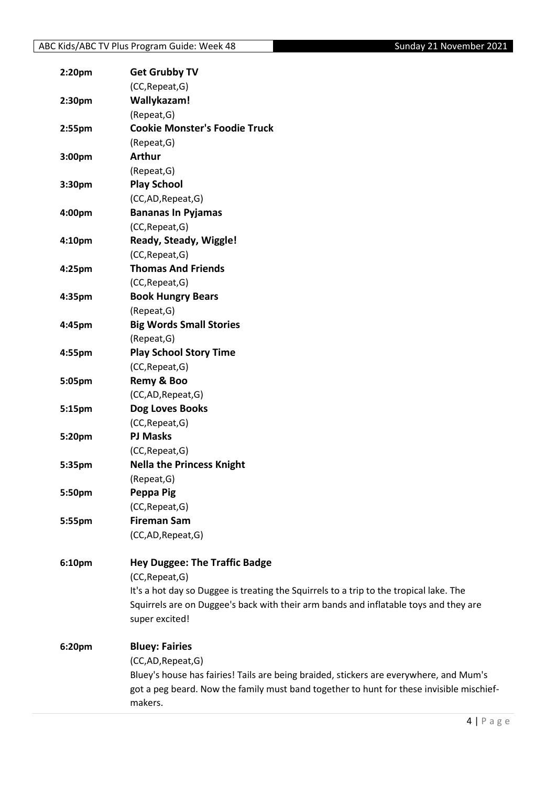| 2:20pm | <b>Get Grubby TV</b>                                                                     |
|--------|------------------------------------------------------------------------------------------|
|        | (CC, Repeat, G)                                                                          |
| 2:30pm | Wallykazam!                                                                              |
|        | (Repeat, G)                                                                              |
| 2:55pm | <b>Cookie Monster's Foodie Truck</b>                                                     |
|        | (Repeat, G)                                                                              |
| 3:00pm | <b>Arthur</b>                                                                            |
|        | (Repeat, G)                                                                              |
| 3:30pm | <b>Play School</b>                                                                       |
|        | (CC,AD,Repeat,G)                                                                         |
| 4:00pm | <b>Bananas In Pyjamas</b>                                                                |
|        | (CC, Repeat, G)                                                                          |
| 4:10pm | Ready, Steady, Wiggle!                                                                   |
|        | (CC, Repeat, G)                                                                          |
| 4:25pm | <b>Thomas And Friends</b>                                                                |
|        | (CC, Repeat, G)                                                                          |
| 4:35pm | <b>Book Hungry Bears</b>                                                                 |
|        | (Repeat, G)                                                                              |
| 4:45pm | <b>Big Words Small Stories</b>                                                           |
|        | (Repeat, G)                                                                              |
| 4:55pm | <b>Play School Story Time</b>                                                            |
|        | (CC, Repeat, G)                                                                          |
| 5:05pm | Remy & Boo                                                                               |
|        | (CC,AD,Repeat,G)                                                                         |
| 5:15pm | Dog Loves Books                                                                          |
|        | (CC, Repeat, G)                                                                          |
| 5:20pm | <b>PJ Masks</b>                                                                          |
|        | (CC, Repeat, G)                                                                          |
| 5:35pm | <b>Nella the Princess Knight</b>                                                         |
|        | (Repeat, G)                                                                              |
| 5:50pm | Peppa Pig                                                                                |
|        | (CC, Repeat, G)                                                                          |
| 5:55pm | <b>Fireman Sam</b>                                                                       |
|        | (CC,AD,Repeat,G)                                                                         |
| 6:10pm | <b>Hey Duggee: The Traffic Badge</b>                                                     |
|        | (CC, Repeat, G)                                                                          |
|        | It's a hot day so Duggee is treating the Squirrels to a trip to the tropical lake. The   |
|        | Squirrels are on Duggee's back with their arm bands and inflatable toys and they are     |
|        | super excited!                                                                           |
| 6:20pm | <b>Bluey: Fairies</b>                                                                    |
|        | (CC,AD,Repeat,G)                                                                         |
|        | Bluey's house has fairies! Tails are being braided, stickers are everywhere, and Mum's   |
|        | got a peg beard. Now the family must band together to hunt for these invisible mischief- |
|        | makers.                                                                                  |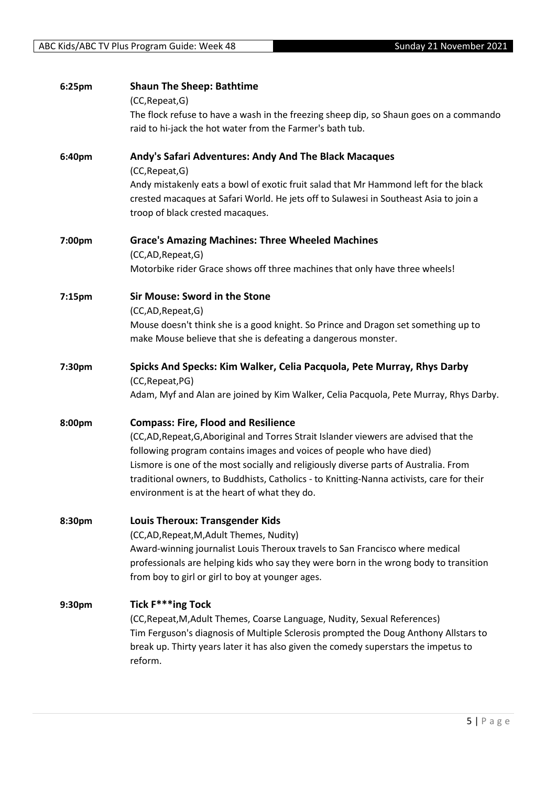| 6:25pm | <b>Shaun The Sheep: Bathtime</b><br>(CC, Repeat, G)<br>The flock refuse to have a wash in the freezing sheep dip, so Shaun goes on a commando<br>raid to hi-jack the hot water from the Farmer's bath tub.                                                                                                                                                                                                                                     |
|--------|------------------------------------------------------------------------------------------------------------------------------------------------------------------------------------------------------------------------------------------------------------------------------------------------------------------------------------------------------------------------------------------------------------------------------------------------|
| 6:40pm | Andy's Safari Adventures: Andy And The Black Macaques<br>(CC, Repeat, G)<br>Andy mistakenly eats a bowl of exotic fruit salad that Mr Hammond left for the black<br>crested macaques at Safari World. He jets off to Sulawesi in Southeast Asia to join a<br>troop of black crested macaques.                                                                                                                                                  |
| 7:00pm | <b>Grace's Amazing Machines: Three Wheeled Machines</b><br>(CC,AD,Repeat,G)<br>Motorbike rider Grace shows off three machines that only have three wheels!                                                                                                                                                                                                                                                                                     |
| 7:15pm | <b>Sir Mouse: Sword in the Stone</b><br>(CC,AD,Repeat,G)<br>Mouse doesn't think she is a good knight. So Prince and Dragon set something up to<br>make Mouse believe that she is defeating a dangerous monster.                                                                                                                                                                                                                                |
| 7:30pm | Spicks And Specks: Kim Walker, Celia Pacquola, Pete Murray, Rhys Darby<br>(CC, Repeat, PG)<br>Adam, Myf and Alan are joined by Kim Walker, Celia Pacquola, Pete Murray, Rhys Darby.                                                                                                                                                                                                                                                            |
| 8:00pm | <b>Compass: Fire, Flood and Resilience</b><br>(CC,AD,Repeat,G,Aboriginal and Torres Strait Islander viewers are advised that the<br>following program contains images and voices of people who have died)<br>Lismore is one of the most socially and religiously diverse parts of Australia. From<br>traditional owners, to Buddhists, Catholics - to Knitting-Nanna activists, care for their<br>environment is at the heart of what they do. |
| 8:30pm | <b>Louis Theroux: Transgender Kids</b><br>(CC,AD, Repeat, M, Adult Themes, Nudity)<br>Award-winning journalist Louis Theroux travels to San Francisco where medical<br>professionals are helping kids who say they were born in the wrong body to transition<br>from boy to girl or girl to boy at younger ages.                                                                                                                               |
| 9:30pm | Tick F***ing Tock<br>(CC, Repeat, M, Adult Themes, Coarse Language, Nudity, Sexual References)<br>Tim Ferguson's diagnosis of Multiple Sclerosis prompted the Doug Anthony Allstars to<br>break up. Thirty years later it has also given the comedy superstars the impetus to<br>reform.                                                                                                                                                       |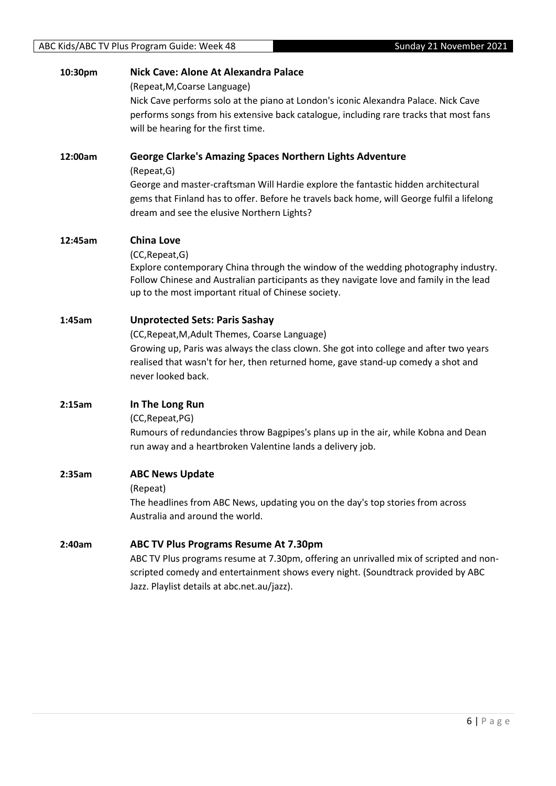| 10:30pm | Nick Cave: Alone At Alexandra Palace<br>(Repeat, M, Coarse Language)                                                                                                                                                                                    |
|---------|---------------------------------------------------------------------------------------------------------------------------------------------------------------------------------------------------------------------------------------------------------|
|         | Nick Cave performs solo at the piano at London's iconic Alexandra Palace. Nick Cave<br>performs songs from his extensive back catalogue, including rare tracks that most fans<br>will be hearing for the first time.                                    |
| 12:00am | <b>George Clarke's Amazing Spaces Northern Lights Adventure</b><br>(Repeat, G)                                                                                                                                                                          |
|         | George and master-craftsman Will Hardie explore the fantastic hidden architectural<br>gems that Finland has to offer. Before he travels back home, will George fulfil a lifelong<br>dream and see the elusive Northern Lights?                          |
| 12:45am | <b>China Love</b>                                                                                                                                                                                                                                       |
|         | (CC, Repeat, G)<br>Explore contemporary China through the window of the wedding photography industry.<br>Follow Chinese and Australian participants as they navigate love and family in the lead<br>up to the most important ritual of Chinese society. |
| 1:45am  | <b>Unprotected Sets: Paris Sashay</b>                                                                                                                                                                                                                   |
|         | (CC, Repeat, M, Adult Themes, Coarse Language)<br>Growing up, Paris was always the class clown. She got into college and after two years<br>realised that wasn't for her, then returned home, gave stand-up comedy a shot and<br>never looked back.     |
| 2:15am  | In The Long Run                                                                                                                                                                                                                                         |
|         | (CC, Repeat, PG)                                                                                                                                                                                                                                        |
|         | Rumours of redundancies throw Bagpipes's plans up in the air, while Kobna and Dean<br>run away and a heartbroken Valentine lands a delivery job.                                                                                                        |
| 2:35am  | <b>ABC News Update</b>                                                                                                                                                                                                                                  |
|         | (Repeat)<br>The headlines from ABC News, updating you on the day's top stories from across                                                                                                                                                              |
|         | Australia and around the world.                                                                                                                                                                                                                         |
| 2:40am  | ABC TV Plus Programs Resume At 7.30pm                                                                                                                                                                                                                   |
|         | ABC TV Plus programs resume at 7.30pm, offering an unrivalled mix of scripted and non-<br>scripted comedy and entertainment shows every night. (Soundtrack provided by ABC                                                                              |
|         | Jazz. Playlist details at abc.net.au/jazz).                                                                                                                                                                                                             |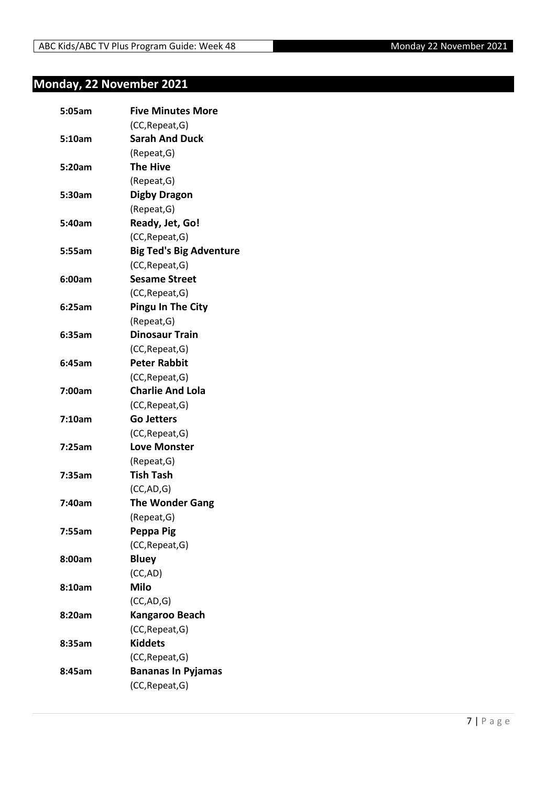## <span id="page-6-0"></span>**Monday, 22 November 2021**

| 5:05am | <b>Five Minutes More</b>       |
|--------|--------------------------------|
|        | (CC, Repeat, G)                |
| 5:10am | <b>Sarah And Duck</b>          |
|        | (Repeat, G)                    |
| 5:20am | <b>The Hive</b>                |
|        | (Repeat, G)                    |
| 5:30am | <b>Digby Dragon</b>            |
|        | (Repeat, G)                    |
| 5:40am | Ready, Jet, Go!                |
|        | (CC, Repeat, G)                |
| 5:55am | <b>Big Ted's Big Adventure</b> |
|        | (CC, Repeat, G)                |
| 6:00am | <b>Sesame Street</b>           |
|        | (CC, Repeat, G)                |
| 6:25am | <b>Pingu In The City</b>       |
|        | (Repeat, G)                    |
| 6:35am | <b>Dinosaur Train</b>          |
|        | (CC, Repeat, G)                |
| 6:45am | <b>Peter Rabbit</b>            |
|        | (CC, Repeat, G)                |
| 7:00am | <b>Charlie And Lola</b>        |
|        | (CC, Repeat, G)                |
| 7:10am | <b>Go Jetters</b>              |
|        | (CC, Repeat, G)                |
| 7:25am | <b>Love Monster</b>            |
|        | (Repeat, G)                    |
| 7:35am | <b>Tish Tash</b>               |
|        | (CC, AD, G)                    |
| 7:40am | <b>The Wonder Gang</b>         |
|        | (Repeat, G)                    |
| 7:55am | Peppa Pig                      |
|        | (CC, Repeat, G)                |
| 8:00am | <b>Bluey</b>                   |
|        | (CC,AD)                        |
| 8:10am | <b>Milo</b>                    |
|        | (CC, AD, G)                    |
| 8:20am | Kangaroo Beach                 |
|        | (CC, Repeat, G)                |
| 8:35am | <b>Kiddets</b>                 |
|        | (CC, Repeat, G)                |
| 8:45am | <b>Bananas In Pyjamas</b>      |
|        | (CC, Repeat, G)                |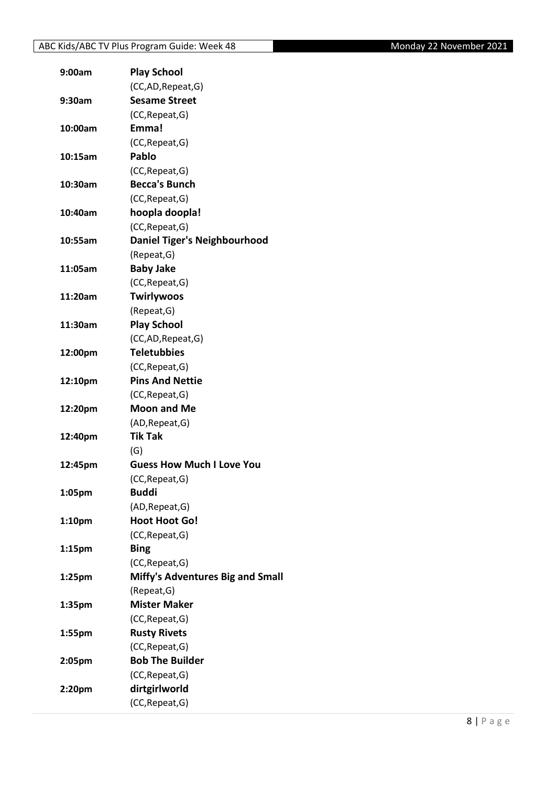| 9:00am             | <b>Play School</b>                  |
|--------------------|-------------------------------------|
|                    | (CC,AD, Repeat, G)                  |
| 9:30am             | <b>Sesame Street</b>                |
|                    | (CC, Repeat, G)                     |
| 10:00am            | Emma!                               |
|                    | (CC, Repeat, G)                     |
| 10:15am            | Pablo                               |
|                    | (CC, Repeat, G)                     |
| 10:30am            | <b>Becca's Bunch</b>                |
|                    | (CC, Repeat, G)                     |
| 10:40am            | hoopla doopla!                      |
|                    | (CC, Repeat, G)                     |
| 10:55am            | <b>Daniel Tiger's Neighbourhood</b> |
|                    | (Repeat, G)                         |
| 11:05am            | <b>Baby Jake</b>                    |
|                    | (CC, Repeat, G)                     |
| 11:20am            | <b>Twirlywoos</b>                   |
|                    | (Repeat, G)                         |
| 11:30am            | <b>Play School</b>                  |
|                    | (CC,AD, Repeat, G)                  |
| 12:00pm            | <b>Teletubbies</b>                  |
|                    | (CC, Repeat, G)                     |
| 12:10pm            | <b>Pins And Nettie</b>              |
|                    | (CC, Repeat, G)                     |
| 12:20pm            | <b>Moon and Me</b>                  |
|                    | (AD, Repeat, G)                     |
| 12:40pm            | <b>Tik Tak</b>                      |
|                    | (G)                                 |
| 12:45pm            | <b>Guess How Much I Love You</b>    |
|                    | (CC, Repeat, G)                     |
| 1:05pm             | <b>Buddi</b>                        |
|                    | (AD, Repeat, G)                     |
| 1:10pm             | <b>Hoot Hoot Go!</b>                |
|                    | (CC, Repeat, G)                     |
| 1:15 <sub>pm</sub> | <b>Bing</b>                         |
|                    | (CC, Repeat, G)                     |
| 1:25 <sub>pm</sub> | Miffy's Adventures Big and Small    |
|                    |                                     |
|                    | (Repeat, G)<br><b>Mister Maker</b>  |
| 1:35pm             |                                     |
|                    | (CC, Repeat, G)                     |
| 1:55pm             | <b>Rusty Rivets</b>                 |
|                    | (CC, Repeat, G)                     |
| 2:05pm             | <b>Bob The Builder</b>              |
|                    | (CC, Repeat, G)                     |
| 2:20pm             | dirtgirlworld                       |
|                    | (CC, Repeat, G)                     |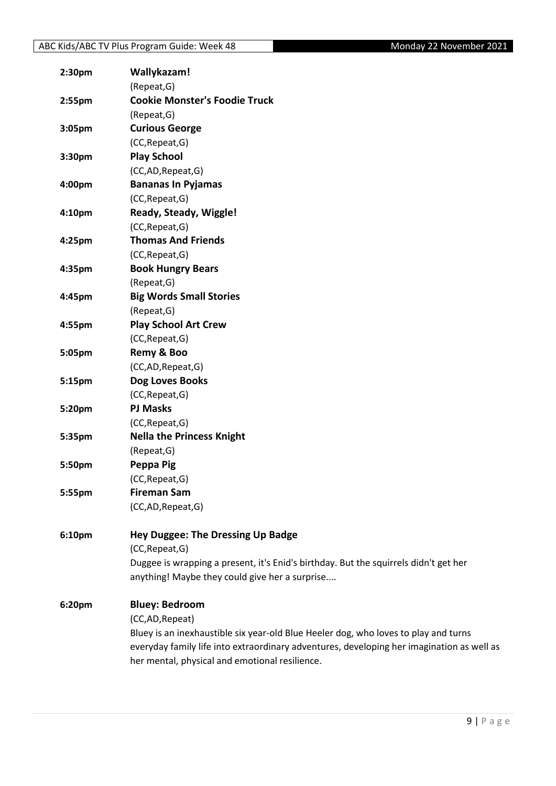| 2:30pm | Wallykazam!                                                                               |
|--------|-------------------------------------------------------------------------------------------|
|        | (Repeat, G)                                                                               |
| 2:55pm | <b>Cookie Monster's Foodie Truck</b>                                                      |
|        | (Repeat, G)                                                                               |
| 3:05pm | <b>Curious George</b>                                                                     |
|        | (CC, Repeat, G)                                                                           |
| 3:30pm | <b>Play School</b>                                                                        |
|        | (CC,AD,Repeat,G)                                                                          |
| 4:00pm | <b>Bananas In Pyjamas</b>                                                                 |
|        | (CC, Repeat, G)                                                                           |
| 4:10pm | Ready, Steady, Wiggle!                                                                    |
|        | (CC, Repeat, G)                                                                           |
| 4:25pm | <b>Thomas And Friends</b>                                                                 |
|        | (CC, Repeat, G)                                                                           |
| 4:35pm | <b>Book Hungry Bears</b>                                                                  |
|        | (Repeat, G)                                                                               |
| 4:45pm | <b>Big Words Small Stories</b>                                                            |
|        | (Repeat, G)                                                                               |
| 4:55pm | <b>Play School Art Crew</b>                                                               |
|        | (CC, Repeat, G)                                                                           |
| 5:05pm | Remy & Boo                                                                                |
|        | (CC,AD,Repeat,G)                                                                          |
| 5:15pm | Dog Loves Books                                                                           |
|        | (CC, Repeat, G)                                                                           |
| 5:20pm | <b>PJ Masks</b>                                                                           |
|        | (CC, Repeat, G)                                                                           |
| 5:35pm | <b>Nella the Princess Knight</b>                                                          |
|        | (Repeat, G)                                                                               |
| 5:50pm | Peppa Pig                                                                                 |
|        | (CC, Repeat, G)                                                                           |
| 5:55pm | <b>Fireman Sam</b>                                                                        |
|        | (CC,AD, Repeat, G)                                                                        |
| 6:10pm | Hey Duggee: The Dressing Up Badge                                                         |
|        | (CC, Repeat, G)                                                                           |
|        | Duggee is wrapping a present, it's Enid's birthday. But the squirrels didn't get her      |
|        | anything! Maybe they could give her a surprise                                            |
| 6:20pm | <b>Bluey: Bedroom</b>                                                                     |
|        | (CC,AD,Repeat)                                                                            |
|        | Bluey is an inexhaustible six year-old Blue Heeler dog, who loves to play and turns       |
|        | everyday family life into extraordinary adventures, developing her imagination as well as |
|        | her mental, physical and emotional resilience.                                            |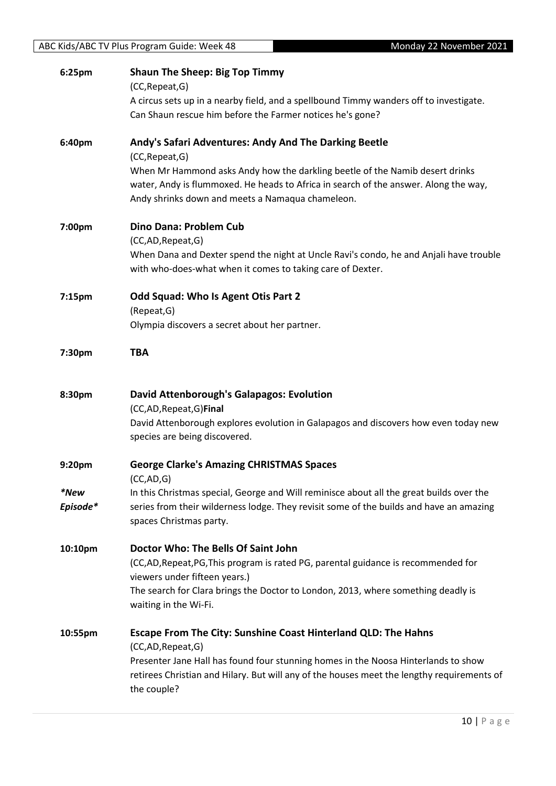|          | Monday 22 November 2021<br>ABC Kids/ABC TV Plus Program Guide: Week 48                     |
|----------|--------------------------------------------------------------------------------------------|
| 6:25pm   | <b>Shaun The Sheep: Big Top Timmy</b>                                                      |
|          | (CC, Repeat, G)                                                                            |
|          | A circus sets up in a nearby field, and a spellbound Timmy wanders off to investigate.     |
|          | Can Shaun rescue him before the Farmer notices he's gone?                                  |
| 6:40pm   | Andy's Safari Adventures: Andy And The Darking Beetle                                      |
|          | (CC, Repeat, G)                                                                            |
|          | When Mr Hammond asks Andy how the darkling beetle of the Namib desert drinks               |
|          | water, Andy is flummoxed. He heads to Africa in search of the answer. Along the way,       |
|          | Andy shrinks down and meets a Namaqua chameleon.                                           |
| 7:00pm   | Dino Dana: Problem Cub                                                                     |
|          | (CC,AD,Repeat,G)                                                                           |
|          | When Dana and Dexter spend the night at Uncle Ravi's condo, he and Anjali have trouble     |
|          | with who-does-what when it comes to taking care of Dexter.                                 |
| 7:15pm   | Odd Squad: Who Is Agent Otis Part 2                                                        |
|          | (Repeat, G)                                                                                |
|          | Olympia discovers a secret about her partner.                                              |
| 7:30pm   | <b>TBA</b>                                                                                 |
|          |                                                                                            |
| 8:30pm   | <b>David Attenborough's Galapagos: Evolution</b><br>(CC,AD, Repeat, G) Final               |
|          | David Attenborough explores evolution in Galapagos and discovers how even today new        |
|          | species are being discovered.                                                              |
| 9:20pm   | <b>George Clarke's Amazing CHRISTMAS Spaces</b>                                            |
|          | (CC, AD, G)                                                                                |
| *New     | In this Christmas special, George and Will reminisce about all the great builds over the   |
| Episode* | series from their wilderness lodge. They revisit some of the builds and have an amazing    |
|          | spaces Christmas party.                                                                    |
| 10:10pm  | Doctor Who: The Bells Of Saint John                                                        |
|          | (CC,AD,Repeat,PG,This program is rated PG, parental guidance is recommended for            |
|          | viewers under fifteen years.)                                                              |
|          | The search for Clara brings the Doctor to London, 2013, where something deadly is          |
|          | waiting in the Wi-Fi.                                                                      |
| 10:55pm  | Escape From The City: Sunshine Coast Hinterland QLD: The Hahns                             |
|          | (CC,AD,Repeat,G)                                                                           |
|          | Presenter Jane Hall has found four stunning homes in the Noosa Hinterlands to show         |
|          | retirees Christian and Hilary. But will any of the houses meet the lengthy requirements of |
|          | the couple?                                                                                |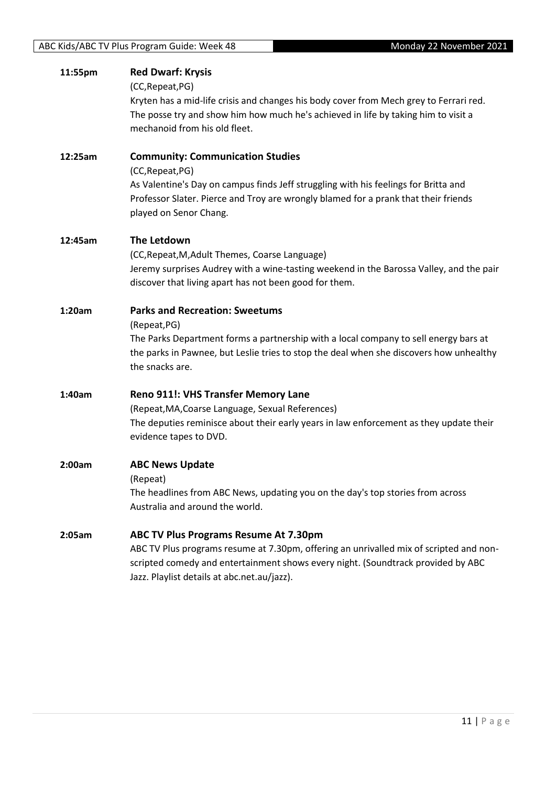| 11:55pm | <b>Red Dwarf: Krysis</b>                                                                |
|---------|-----------------------------------------------------------------------------------------|
|         | (CC, Repeat, PG)                                                                        |
|         | Kryten has a mid-life crisis and changes his body cover from Mech grey to Ferrari red.  |
|         | The posse try and show him how much he's achieved in life by taking him to visit a      |
|         | mechanoid from his old fleet.                                                           |
| 12:25am | <b>Community: Communication Studies</b>                                                 |
|         | (CC, Repeat, PG)                                                                        |
|         | As Valentine's Day on campus finds Jeff struggling with his feelings for Britta and     |
|         | Professor Slater. Pierce and Troy are wrongly blamed for a prank that their friends     |
|         | played on Senor Chang.                                                                  |
| 12:45am | <b>The Letdown</b>                                                                      |
|         | (CC, Repeat, M, Adult Themes, Coarse Language)                                          |
|         | Jeremy surprises Audrey with a wine-tasting weekend in the Barossa Valley, and the pair |
|         | discover that living apart has not been good for them.                                  |
| 1:20am  | <b>Parks and Recreation: Sweetums</b>                                                   |
|         | (Repeat, PG)                                                                            |
|         | The Parks Department forms a partnership with a local company to sell energy bars at    |
|         | the parks in Pawnee, but Leslie tries to stop the deal when she discovers how unhealthy |
|         | the snacks are.                                                                         |
| 1:40am  | <b>Reno 911!: VHS Transfer Memory Lane</b>                                              |
|         | (Repeat, MA, Coarse Language, Sexual References)                                        |
|         | The deputies reminisce about their early years in law enforcement as they update their  |
|         | evidence tapes to DVD.                                                                  |
| 2:00am  | <b>ABC News Update</b>                                                                  |
|         | (Repeat)                                                                                |
|         | The headlines from ABC News, updating you on the day's top stories from across          |
|         | Australia and around the world.                                                         |
| 2:05am  | ABC TV Plus Programs Resume At 7.30pm                                                   |
|         | ABC TV Plus programs resume at 7.30pm, offering an unrivalled mix of scripted and non-  |
|         | scripted comedy and entertainment shows every night. (Soundtrack provided by ABC        |
|         | Jazz. Playlist details at abc.net.au/jazz).                                             |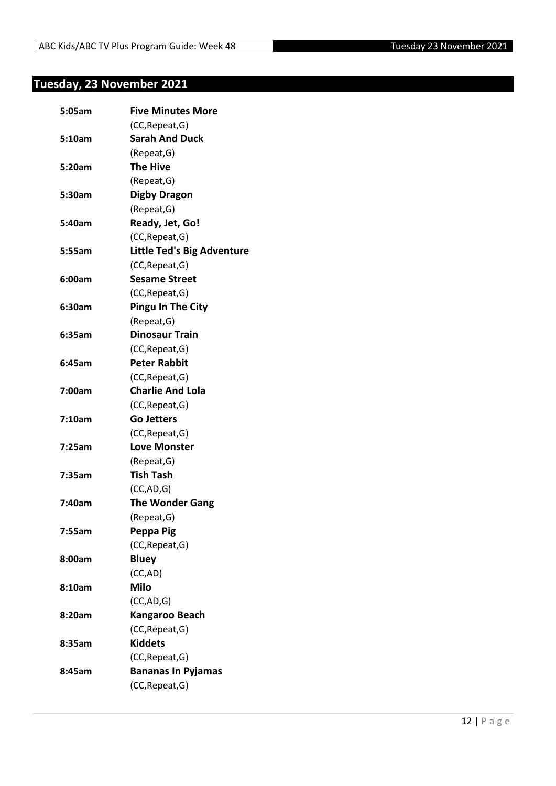## <span id="page-11-0"></span>**Tuesday, 23 November 2021**

| 5:05am | <b>Five Minutes More</b>          |
|--------|-----------------------------------|
|        | (CC, Repeat, G)                   |
| 5:10am | <b>Sarah And Duck</b>             |
|        | (Repeat, G)                       |
| 5:20am | <b>The Hive</b>                   |
|        | (Repeat, G)                       |
| 5:30am | <b>Digby Dragon</b>               |
|        | (Repeat, G)                       |
| 5:40am | Ready, Jet, Go!                   |
|        | (CC, Repeat, G)                   |
| 5:55am | <b>Little Ted's Big Adventure</b> |
|        | (CC, Repeat, G)                   |
| 6:00am | <b>Sesame Street</b>              |
|        | (CC, Repeat, G)                   |
| 6:30am | <b>Pingu In The City</b>          |
|        | (Repeat, G)                       |
| 6:35am | <b>Dinosaur Train</b>             |
|        | (CC, Repeat, G)                   |
| 6:45am | <b>Peter Rabbit</b>               |
|        | (CC, Repeat, G)                   |
| 7:00am | <b>Charlie And Lola</b>           |
|        | (CC, Repeat, G)                   |
| 7:10am | <b>Go Jetters</b>                 |
|        | (CC, Repeat, G)                   |
| 7:25am | <b>Love Monster</b>               |
|        | (Repeat, G)                       |
| 7:35am | <b>Tish Tash</b>                  |
|        | (CC, AD, G)                       |
| 7:40am | <b>The Wonder Gang</b>            |
|        | (Repeat, G)                       |
| 7:55am | Peppa Pig                         |
|        | (CC, Repeat, G)                   |
| 8:00am | <b>Bluey</b>                      |
|        | (CC,AD)                           |
| 8:10am | <b>Milo</b>                       |
|        | (CC, AD, G)                       |
| 8:20am | Kangaroo Beach                    |
|        | (CC, Repeat, G)                   |
| 8:35am | <b>Kiddets</b>                    |
|        | (CC, Repeat, G)                   |
| 8:45am | <b>Bananas In Pyjamas</b>         |
|        | (CC, Repeat, G)                   |
|        |                                   |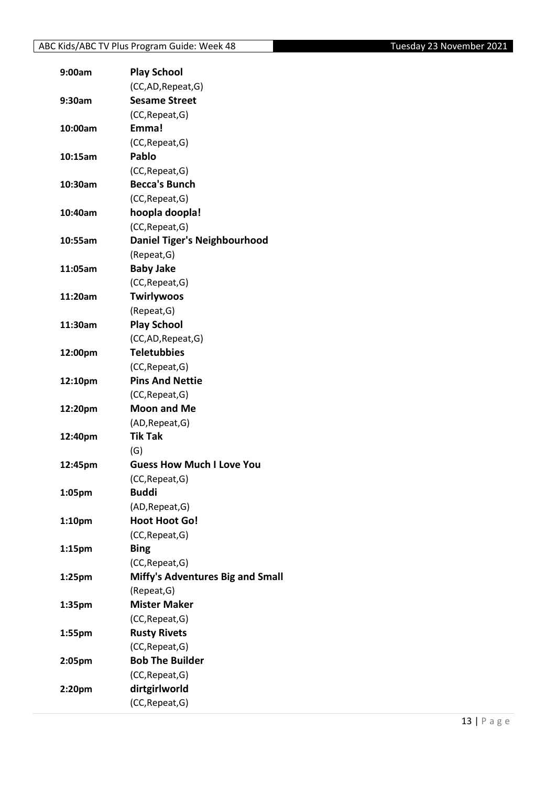| 9:00am             | <b>Play School</b>                        |
|--------------------|-------------------------------------------|
|                    | (CC,AD,Repeat,G)                          |
| 9:30am             | <b>Sesame Street</b>                      |
|                    | (CC, Repeat, G)                           |
| 10:00am            | Emma!                                     |
|                    | (CC, Repeat, G)                           |
| 10:15am            | Pablo                                     |
|                    | (CC, Repeat, G)                           |
| 10:30am            | <b>Becca's Bunch</b>                      |
|                    | (CC, Repeat, G)                           |
| 10:40am            | hoopla doopla!                            |
|                    | (CC, Repeat, G)                           |
| 10:55am            | <b>Daniel Tiger's Neighbourhood</b>       |
|                    | (Repeat, G)                               |
| 11:05am            | <b>Baby Jake</b>                          |
|                    | (CC, Repeat, G)                           |
| 11:20am            | <b>Twirlywoos</b>                         |
|                    | (Repeat, G)                               |
| 11:30am            | <b>Play School</b>                        |
|                    | (CC,AD,Repeat,G)                          |
| 12:00pm            | <b>Teletubbies</b>                        |
|                    | (CC, Repeat, G)                           |
| 12:10pm            | <b>Pins And Nettie</b>                    |
|                    | (CC, Repeat, G)                           |
| 12:20pm            | <b>Moon and Me</b>                        |
|                    | (AD, Repeat, G)                           |
| 12:40pm            | <b>Tik Tak</b>                            |
|                    | (G)                                       |
| 12:45pm            | <b>Guess How Much I Love You</b>          |
|                    | (CC, Repeat, G)                           |
| 1:05pm             | <b>Buddi</b>                              |
|                    | (AD, Repeat, G)                           |
| 1:10pm             | <b>Hoot Hoot Go!</b>                      |
|                    | (CC, Repeat, G)                           |
| 1:15 <sub>pm</sub> | <b>Bing</b>                               |
|                    | (CC, Repeat, G)                           |
| 1:25 <sub>pm</sub> | Miffy's Adventures Big and Small          |
|                    | (Repeat, G)                               |
| 1:35pm             | <b>Mister Maker</b>                       |
|                    | (CC, Repeat, G)                           |
| 1:55pm             | <b>Rusty Rivets</b>                       |
|                    | (CC, Repeat, G)<br><b>Bob The Builder</b> |
| 2:05pm             |                                           |
|                    | (CC, Repeat, G)                           |
| 2:20pm             | dirtgirlworld                             |
|                    | (CC, Repeat, G)                           |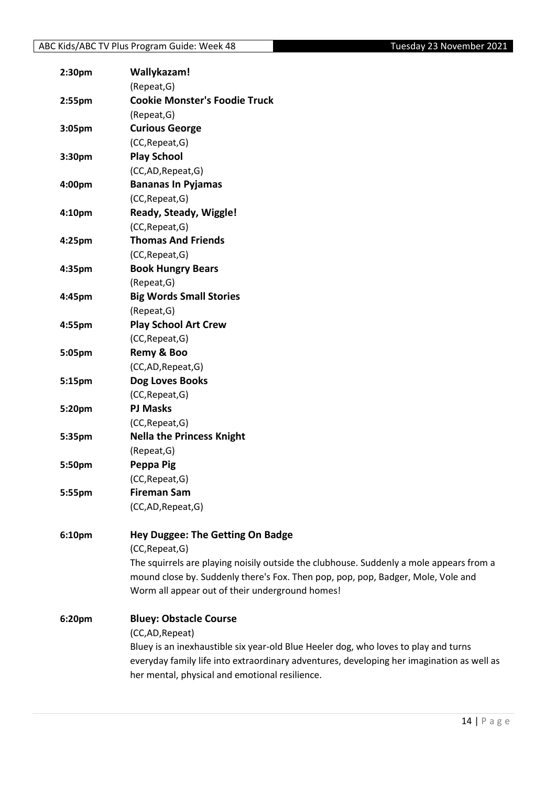| 2:30pm             | Wallykazam!                                                                               |
|--------------------|-------------------------------------------------------------------------------------------|
|                    | (Repeat, G)                                                                               |
| 2:55 <sub>pm</sub> | <b>Cookie Monster's Foodie Truck</b>                                                      |
|                    | (Repeat, G)                                                                               |
| 3:05pm             | <b>Curious George</b>                                                                     |
|                    | (CC, Repeat, G)                                                                           |
| 3:30pm             | <b>Play School</b>                                                                        |
|                    | (CC,AD,Repeat,G)                                                                          |
| 4:00pm             | <b>Bananas In Pyjamas</b>                                                                 |
|                    | (CC, Repeat, G)                                                                           |
| 4:10 <sub>pm</sub> | Ready, Steady, Wiggle!                                                                    |
|                    | (CC, Repeat, G)                                                                           |
| 4:25pm             | <b>Thomas And Friends</b>                                                                 |
|                    | (CC, Repeat, G)                                                                           |
| 4:35pm             | <b>Book Hungry Bears</b>                                                                  |
|                    | (Repeat, G)                                                                               |
| 4:45pm             | <b>Big Words Small Stories</b>                                                            |
|                    | (Repeat, G)                                                                               |
| 4:55pm             | <b>Play School Art Crew</b>                                                               |
|                    | (CC, Repeat, G)                                                                           |
| 5:05pm             | Remy & Boo                                                                                |
|                    | (CC,AD,Repeat,G)                                                                          |
| 5:15pm             | Dog Loves Books                                                                           |
|                    | (CC, Repeat, G)                                                                           |
| 5:20pm             | <b>PJ Masks</b>                                                                           |
|                    | (CC, Repeat, G)                                                                           |
| 5:35pm             | <b>Nella the Princess Knight</b>                                                          |
|                    | (Repeat, G)                                                                               |
| 5:50pm             | Peppa Pig                                                                                 |
|                    | (CC, Repeat, G)                                                                           |
| 5:55pm             | <b>Fireman Sam</b>                                                                        |
|                    | (CC,AD,Repeat,G)                                                                          |
|                    |                                                                                           |
| 6:10pm             | <b>Hey Duggee: The Getting On Badge</b>                                                   |
|                    | (CC, Repeat, G)                                                                           |
|                    | The squirrels are playing noisily outside the clubhouse. Suddenly a mole appears from a   |
|                    | mound close by. Suddenly there's Fox. Then pop, pop, pop, Badger, Mole, Vole and          |
|                    | Worm all appear out of their underground homes!                                           |
| 6:20pm             | <b>Bluey: Obstacle Course</b>                                                             |
|                    | (CC,AD, Repeat)                                                                           |
|                    | Bluey is an inexhaustible six year-old Blue Heeler dog, who loves to play and turns       |
|                    | everyday family life into extraordinary adventures, developing her imagination as well as |
|                    | her mental, physical and emotional resilience.                                            |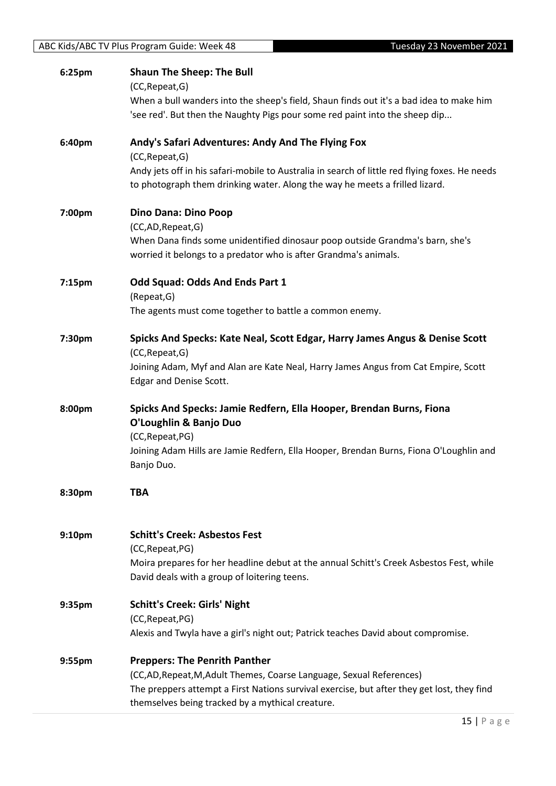| ABC Kids/ABC TV Plus Program Guide: Week 48<br>Tuesday 23 November 2021 |                                                                                                                                                                               |
|-------------------------------------------------------------------------|-------------------------------------------------------------------------------------------------------------------------------------------------------------------------------|
| 6:25pm                                                                  | <b>Shaun The Sheep: The Bull</b><br>(CC, Repeat, G)                                                                                                                           |
|                                                                         | When a bull wanders into the sheep's field, Shaun finds out it's a bad idea to make him<br>'see red'. But then the Naughty Pigs pour some red paint into the sheep dip        |
| 6:40pm                                                                  | Andy's Safari Adventures: Andy And The Flying Fox<br>(CC, Repeat, G)                                                                                                          |
|                                                                         | Andy jets off in his safari-mobile to Australia in search of little red flying foxes. He needs<br>to photograph them drinking water. Along the way he meets a frilled lizard. |
| 7:00pm                                                                  | <b>Dino Dana: Dino Poop</b><br>(CC,AD, Repeat, G)                                                                                                                             |
|                                                                         | When Dana finds some unidentified dinosaur poop outside Grandma's barn, she's<br>worried it belongs to a predator who is after Grandma's animals.                             |
| 7:15pm                                                                  | Odd Squad: Odds And Ends Part 1<br>(Repeat, G)                                                                                                                                |
|                                                                         | The agents must come together to battle a common enemy.                                                                                                                       |
| 7:30pm                                                                  | Spicks And Specks: Kate Neal, Scott Edgar, Harry James Angus & Denise Scott<br>(CC, Repeat, G)                                                                                |
|                                                                         | Joining Adam, Myf and Alan are Kate Neal, Harry James Angus from Cat Empire, Scott<br><b>Edgar and Denise Scott.</b>                                                          |
| 8:00pm                                                                  | Spicks And Specks: Jamie Redfern, Ella Hooper, Brendan Burns, Fiona<br>O'Loughlin & Banjo Duo                                                                                 |
|                                                                         | (CC, Repeat, PG)<br>Joining Adam Hills are Jamie Redfern, Ella Hooper, Brendan Burns, Fiona O'Loughlin and<br>Banjo Duo.                                                      |
| 8:30pm                                                                  | <b>TBA</b>                                                                                                                                                                    |
| 9:10pm                                                                  | <b>Schitt's Creek: Asbestos Fest</b>                                                                                                                                          |
|                                                                         | (CC, Repeat, PG)<br>Moira prepares for her headline debut at the annual Schitt's Creek Asbestos Fest, while<br>David deals with a group of loitering teens.                   |
| 9:35pm                                                                  | <b>Schitt's Creek: Girls' Night</b><br>(CC, Repeat, PG)                                                                                                                       |
|                                                                         | Alexis and Twyla have a girl's night out; Patrick teaches David about compromise.                                                                                             |
| 9:55pm                                                                  | <b>Preppers: The Penrith Panther</b><br>(CC,AD, Repeat, M, Adult Themes, Coarse Language, Sexual References)                                                                  |
|                                                                         | The preppers attempt a First Nations survival exercise, but after they get lost, they find<br>themselves being tracked by a mythical creature.                                |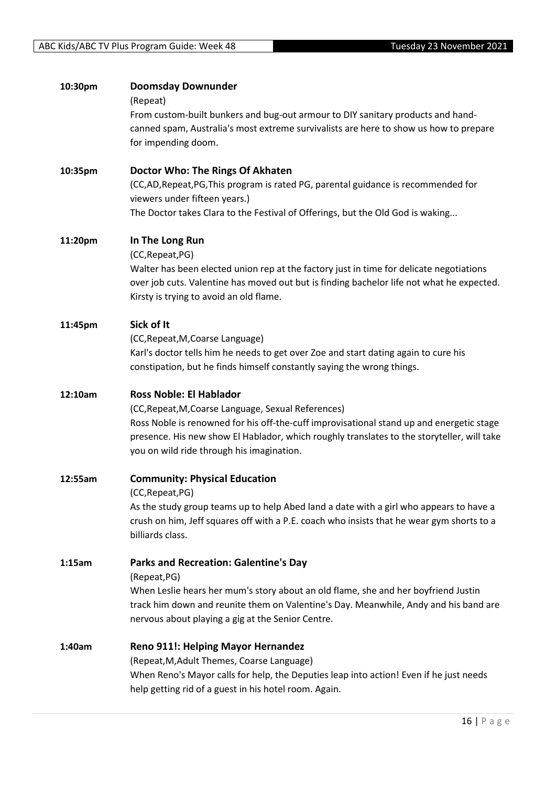| 10:30pm | <b>Doomsday Downunder</b><br>(Repeat)                                                                                                                                                |
|---------|--------------------------------------------------------------------------------------------------------------------------------------------------------------------------------------|
|         | From custom-built bunkers and bug-out armour to DIY sanitary products and hand-                                                                                                      |
|         | canned spam, Australia's most extreme survivalists are here to show us how to prepare                                                                                                |
|         | for impending doom.                                                                                                                                                                  |
| 10:35pm | Doctor Who: The Rings Of Akhaten                                                                                                                                                     |
|         | (CC,AD,Repeat,PG,This program is rated PG, parental guidance is recommended for<br>viewers under fifteen years.)                                                                     |
|         | The Doctor takes Clara to the Festival of Offerings, but the Old God is waking                                                                                                       |
| 11:20pm | In The Long Run                                                                                                                                                                      |
|         | (CC, Repeat, PG)                                                                                                                                                                     |
|         | Walter has been elected union rep at the factory just in time for delicate negotiations<br>over job cuts. Valentine has moved out but is finding bachelor life not what he expected. |
|         | Kirsty is trying to avoid an old flame.                                                                                                                                              |
| 11:45pm | Sick of It                                                                                                                                                                           |
|         | (CC, Repeat, M, Coarse Language)                                                                                                                                                     |
|         | Karl's doctor tells him he needs to get over Zoe and start dating again to cure his                                                                                                  |
|         | constipation, but he finds himself constantly saying the wrong things.                                                                                                               |
| 12:10am | <b>Ross Noble: El Hablador</b>                                                                                                                                                       |
|         | (CC, Repeat, M, Coarse Language, Sexual References)                                                                                                                                  |
|         | Ross Noble is renowned for his off-the-cuff improvisational stand up and energetic stage                                                                                             |
|         | presence. His new show El Hablador, which roughly translates to the storyteller, will take<br>you on wild ride through his imagination.                                              |
|         |                                                                                                                                                                                      |
| 12:55am | <b>Community: Physical Education</b><br>(CC, Repeat, PG)                                                                                                                             |
|         | As the study group teams up to help Abed land a date with a girl who appears to have a                                                                                               |
|         | crush on him, Jeff squares off with a P.E. coach who insists that he wear gym shorts to a                                                                                            |
|         | billiards class.                                                                                                                                                                     |
| 1:15am  | <b>Parks and Recreation: Galentine's Day</b>                                                                                                                                         |
|         | (Repeat, PG)                                                                                                                                                                         |
|         | When Leslie hears her mum's story about an old flame, she and her boyfriend Justin                                                                                                   |
|         | track him down and reunite them on Valentine's Day. Meanwhile, Andy and his band are<br>nervous about playing a gig at the Senior Centre.                                            |
| 1:40am  |                                                                                                                                                                                      |
|         | Reno 911!: Helping Mayor Hernandez<br>(Repeat, M, Adult Themes, Coarse Language)                                                                                                     |
|         | When Reno's Mayor calls for help, the Deputies leap into action! Even if he just needs                                                                                               |
|         | help getting rid of a guest in his hotel room. Again.                                                                                                                                |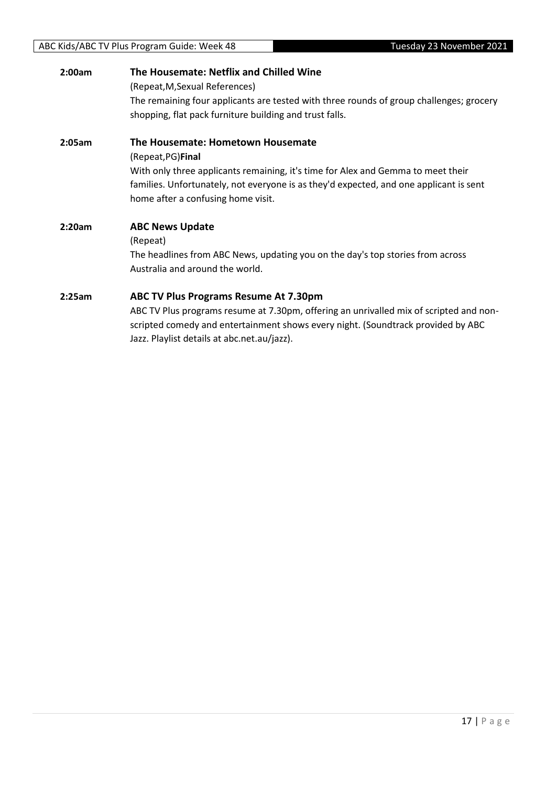| 2:00am | The Housemate: Netflix and Chilled Wine<br>(Repeat, M, Sexual References)<br>The remaining four applicants are tested with three rounds of group challenges; grocery<br>shopping, flat pack furniture building and trust falls.                                             |
|--------|-----------------------------------------------------------------------------------------------------------------------------------------------------------------------------------------------------------------------------------------------------------------------------|
| 2:05am | The Housemate: Hometown Housemate<br>(Repeat, PG) Final<br>With only three applicants remaining, it's time for Alex and Gemma to meet their<br>families. Unfortunately, not everyone is as they'd expected, and one applicant is sent<br>home after a confusing home visit. |
| 2:20am | <b>ABC News Update</b><br>(Repeat)<br>The headlines from ABC News, updating you on the day's top stories from across<br>Australia and around the world.                                                                                                                     |
| 2:25am | <b>ABC TV Plus Programs Resume At 7.30pm</b><br>ABC TV Plus programs resume at 7.30pm, offering an unrivalled mix of scripted and non-<br>scripted comedy and entertainment shows every night. (Soundtrack provided by ABC<br>Jazz. Playlist details at abc.net.au/jazz).   |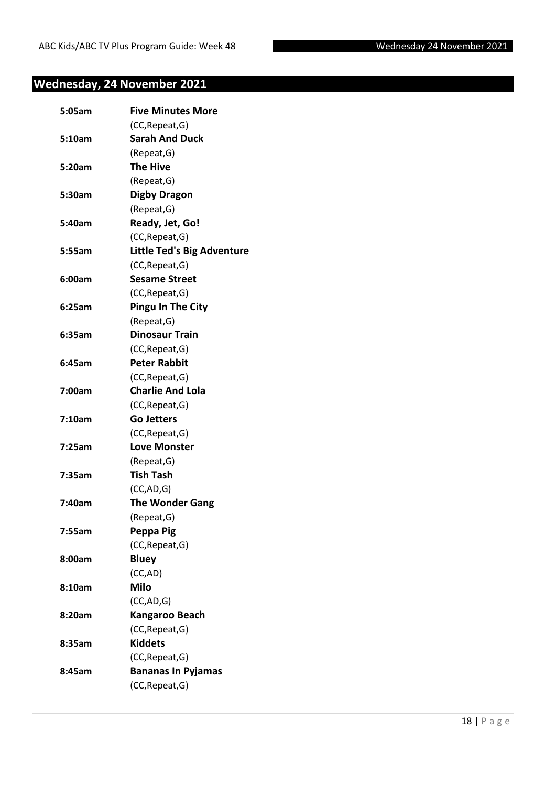## <span id="page-17-0"></span>**Wednesday, 24 November 2021**

| 5:05am | <b>Five Minutes More</b>          |
|--------|-----------------------------------|
|        | (CC, Repeat, G)                   |
| 5:10am | <b>Sarah And Duck</b>             |
|        | (Repeat, G)                       |
| 5:20am | <b>The Hive</b>                   |
|        | (Repeat, G)                       |
| 5:30am | <b>Digby Dragon</b>               |
|        | (Repeat, G)                       |
| 5:40am | Ready, Jet, Go!                   |
|        | (CC, Repeat, G)                   |
| 5:55am | <b>Little Ted's Big Adventure</b> |
|        | (CC, Repeat, G)                   |
| 6:00am | <b>Sesame Street</b>              |
|        | (CC, Repeat, G)                   |
| 6:25am | <b>Pingu In The City</b>          |
|        | (Repeat, G)                       |
| 6:35am | <b>Dinosaur Train</b>             |
|        | (CC, Repeat, G)                   |
| 6:45am | <b>Peter Rabbit</b>               |
|        | (CC, Repeat, G)                   |
| 7:00am | <b>Charlie And Lola</b>           |
|        | (CC, Repeat, G)                   |
| 7:10am | <b>Go Jetters</b>                 |
|        | (CC, Repeat, G)                   |
| 7:25am | <b>Love Monster</b>               |
|        | (Repeat, G)                       |
| 7:35am | <b>Tish Tash</b>                  |
|        | (CC, AD, G)                       |
| 7:40am | <b>The Wonder Gang</b>            |
|        | (Repeat, G)                       |
| 7:55am | Peppa Pig                         |
|        | (CC, Repeat, G)                   |
| 8:00am | <b>Bluey</b>                      |
|        | (CC,AD)                           |
| 8:10am | <b>Milo</b>                       |
|        | (CC, AD, G)                       |
| 8:20am | <b>Kangaroo Beach</b>             |
|        | (CC, Repeat, G)                   |
| 8:35am | <b>Kiddets</b>                    |
|        | (CC, Repeat, G)                   |
| 8:45am | <b>Bananas In Pyjamas</b>         |
|        | (CC, Repeat, G)                   |
|        |                                   |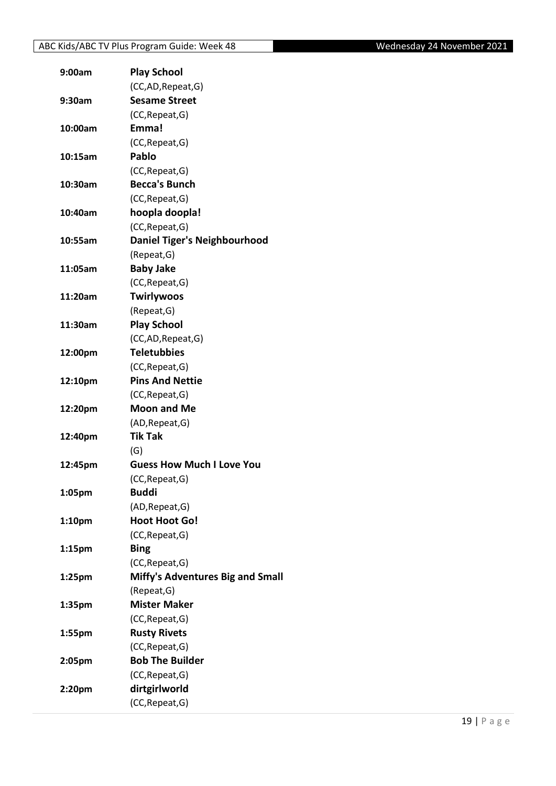| 9:00am             | <b>Play School</b>                        |
|--------------------|-------------------------------------------|
|                    | (CC,AD, Repeat, G)                        |
| 9:30am             | <b>Sesame Street</b>                      |
|                    | (CC, Repeat, G)                           |
| 10:00am            | Emma!                                     |
|                    | (CC, Repeat, G)                           |
| 10:15am            | Pablo                                     |
|                    | (CC, Repeat, G)                           |
| 10:30am            | <b>Becca's Bunch</b>                      |
|                    | (CC, Repeat, G)                           |
| 10:40am            | hoopla doopla!                            |
|                    | (CC, Repeat, G)                           |
| 10:55am            | <b>Daniel Tiger's Neighbourhood</b>       |
|                    | (Repeat, G)                               |
| 11:05am            | <b>Baby Jake</b>                          |
|                    | (CC, Repeat, G)                           |
| 11:20am            | Twirlywoos                                |
|                    | (Repeat, G)                               |
| 11:30am            | <b>Play School</b>                        |
|                    | (CC,AD, Repeat, G)                        |
| 12:00pm            | <b>Teletubbies</b>                        |
|                    | (CC, Repeat, G)                           |
| 12:10pm            | <b>Pins And Nettie</b>                    |
|                    | (CC, Repeat, G)                           |
| 12:20pm            | <b>Moon and Me</b>                        |
|                    | (AD, Repeat, G)                           |
| 12:40pm            | <b>Tik Tak</b>                            |
|                    | (G)                                       |
| 12:45pm            | <b>Guess How Much I Love You</b>          |
|                    | (CC, Repeat, G)                           |
| 1:05pm             | <b>Buddi</b>                              |
|                    | (AD, Repeat, G)                           |
| 1:10pm             | <b>Hoot Hoot Go!</b>                      |
|                    | (CC, Repeat, G)                           |
| 1:15pm             | <b>Bing</b>                               |
|                    | (CC, Repeat, G)                           |
| 1:25 <sub>pm</sub> | Miffy's Adventures Big and Small          |
|                    | (Repeat, G)                               |
| 1:35pm             | <b>Mister Maker</b>                       |
|                    | (CC, Repeat, G)                           |
|                    |                                           |
| 1:55pm             | <b>Rusty Rivets</b>                       |
|                    | (CC, Repeat, G)<br><b>Bob The Builder</b> |
| 2:05pm             |                                           |
|                    | (CC, Repeat, G)                           |
| 2:20pm             | dirtgirlworld                             |
|                    | (CC, Repeat, G)                           |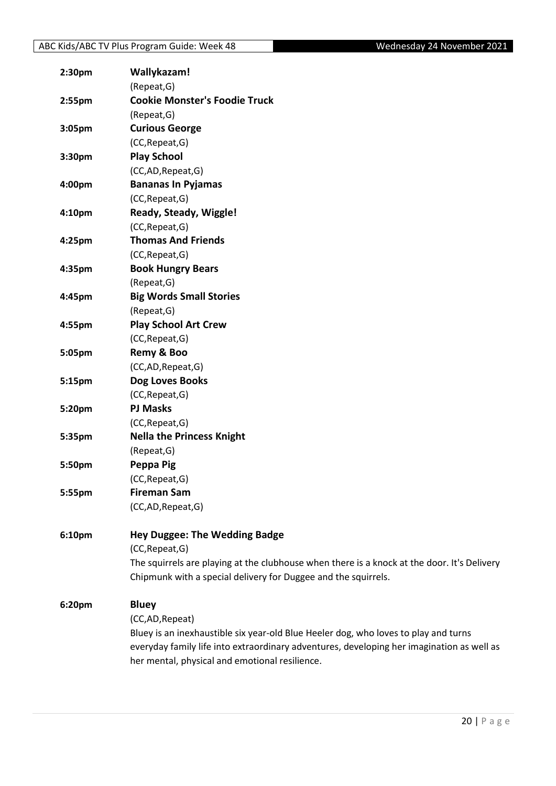| 2:30 <sub>pm</sub> | Wallykazam!                                                                                 |
|--------------------|---------------------------------------------------------------------------------------------|
|                    | (Repeat, G)                                                                                 |
| 2:55pm             | <b>Cookie Monster's Foodie Truck</b>                                                        |
|                    | (Repeat, G)                                                                                 |
| 3:05pm             | <b>Curious George</b>                                                                       |
|                    | (CC, Repeat, G)                                                                             |
| 3:30pm             | <b>Play School</b>                                                                          |
|                    | (CC,AD,Repeat,G)                                                                            |
| 4:00pm             | <b>Bananas In Pyjamas</b>                                                                   |
|                    | (CC, Repeat, G)                                                                             |
| 4:10pm             | Ready, Steady, Wiggle!                                                                      |
|                    | (CC, Repeat, G)                                                                             |
| 4:25pm             | <b>Thomas And Friends</b>                                                                   |
|                    | (CC, Repeat, G)                                                                             |
| 4:35pm             | <b>Book Hungry Bears</b>                                                                    |
|                    | (Repeat, G)                                                                                 |
| 4:45pm             | <b>Big Words Small Stories</b>                                                              |
|                    | (Repeat, G)                                                                                 |
| 4:55pm             | <b>Play School Art Crew</b>                                                                 |
|                    | (CC, Repeat, G)                                                                             |
| 5:05pm             | Remy & Boo                                                                                  |
|                    | (CC,AD,Repeat,G)                                                                            |
| 5:15pm             | Dog Loves Books                                                                             |
|                    | (CC, Repeat, G)                                                                             |
| 5:20pm             | <b>PJ Masks</b>                                                                             |
|                    | (CC, Repeat, G)                                                                             |
| 5:35pm             | <b>Nella the Princess Knight</b>                                                            |
|                    | (Repeat, G)                                                                                 |
| 5:50pm             | Peppa Pig                                                                                   |
|                    | (CC, Repeat, G)                                                                             |
| 5:55pm             | <b>Fireman Sam</b>                                                                          |
|                    | (CC,AD,Repeat,G)                                                                            |
| 6:10pm             | <b>Hey Duggee: The Wedding Badge</b>                                                        |
|                    | (CC, Repeat, G)                                                                             |
|                    | The squirrels are playing at the clubhouse when there is a knock at the door. It's Delivery |
|                    | Chipmunk with a special delivery for Duggee and the squirrels.                              |
| 6:20pm             | <b>Bluey</b>                                                                                |
|                    | (CC,AD,Repeat)                                                                              |
|                    | Bluey is an inexhaustible six year-old Blue Heeler dog, who loves to play and turns         |
|                    | everyday family life into extraordinary adventures, developing her imagination as well as   |
|                    | her mental, physical and emotional resilience.                                              |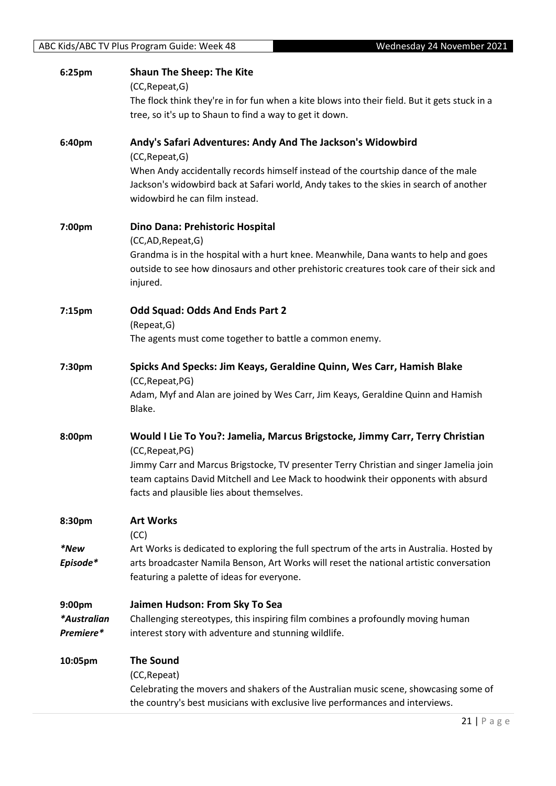| ABC Kids/ABC TV Plus Program Guide: Week 48 |                                                         | Wednesday 24 November 2021                                                                                                                                                  |
|---------------------------------------------|---------------------------------------------------------|-----------------------------------------------------------------------------------------------------------------------------------------------------------------------------|
|                                             |                                                         |                                                                                                                                                                             |
| 6:25pm                                      | <b>Shaun The Sheep: The Kite</b>                        |                                                                                                                                                                             |
|                                             | (CC, Repeat, G)                                         |                                                                                                                                                                             |
|                                             |                                                         | The flock think they're in for fun when a kite blows into their field. But it gets stuck in a                                                                               |
|                                             | tree, so it's up to Shaun to find a way to get it down. |                                                                                                                                                                             |
| 6:40pm                                      |                                                         | Andy's Safari Adventures: Andy And The Jackson's Widowbird                                                                                                                  |
|                                             | (CC, Repeat, G)                                         |                                                                                                                                                                             |
|                                             |                                                         | When Andy accidentally records himself instead of the courtship dance of the male                                                                                           |
|                                             |                                                         | Jackson's widowbird back at Safari world, Andy takes to the skies in search of another                                                                                      |
|                                             | widowbird he can film instead.                          |                                                                                                                                                                             |
|                                             |                                                         |                                                                                                                                                                             |
| 7:00pm                                      | Dino Dana: Prehistoric Hospital                         |                                                                                                                                                                             |
|                                             | (CC,AD,Repeat,G)                                        |                                                                                                                                                                             |
|                                             |                                                         | Grandma is in the hospital with a hurt knee. Meanwhile, Dana wants to help and goes                                                                                         |
|                                             |                                                         | outside to see how dinosaurs and other prehistoric creatures took care of their sick and                                                                                    |
|                                             | injured.                                                |                                                                                                                                                                             |
|                                             |                                                         |                                                                                                                                                                             |
| 7:15pm                                      | <b>Odd Squad: Odds And Ends Part 2</b>                  |                                                                                                                                                                             |
|                                             | (Repeat, G)                                             |                                                                                                                                                                             |
|                                             | The agents must come together to battle a common enemy. |                                                                                                                                                                             |
| 7:30pm                                      |                                                         | Spicks And Specks: Jim Keays, Geraldine Quinn, Wes Carr, Hamish Blake                                                                                                       |
|                                             | (CC, Repeat, PG)                                        |                                                                                                                                                                             |
|                                             |                                                         | Adam, Myf and Alan are joined by Wes Carr, Jim Keays, Geraldine Quinn and Hamish                                                                                            |
|                                             | Blake.                                                  |                                                                                                                                                                             |
|                                             |                                                         |                                                                                                                                                                             |
| 8:00pm                                      |                                                         | Would I Lie To You?: Jamelia, Marcus Brigstocke, Jimmy Carr, Terry Christian                                                                                                |
|                                             | (CC, Repeat, PG)                                        |                                                                                                                                                                             |
|                                             |                                                         | Jimmy Carr and Marcus Brigstocke, TV presenter Terry Christian and singer Jamelia join<br>team captains David Mitchell and Lee Mack to hoodwink their opponents with absurd |
|                                             | facts and plausible lies about themselves.              |                                                                                                                                                                             |
|                                             |                                                         |                                                                                                                                                                             |
| 8:30pm                                      | <b>Art Works</b>                                        |                                                                                                                                                                             |
|                                             | (CC)                                                    |                                                                                                                                                                             |
| *New                                        |                                                         | Art Works is dedicated to exploring the full spectrum of the arts in Australia. Hosted by                                                                                   |
| Episode*                                    |                                                         | arts broadcaster Namila Benson, Art Works will reset the national artistic conversation                                                                                     |
|                                             | featuring a palette of ideas for everyone.              |                                                                                                                                                                             |
|                                             |                                                         |                                                                                                                                                                             |
| 9:00pm                                      | Jaimen Hudson: From Sky To Sea                          |                                                                                                                                                                             |
| *Australian                                 |                                                         | Challenging stereotypes, this inspiring film combines a profoundly moving human                                                                                             |
| Premiere*                                   | interest story with adventure and stunning wildlife.    |                                                                                                                                                                             |
| 10:05pm                                     | <b>The Sound</b>                                        |                                                                                                                                                                             |
|                                             | (CC, Repeat)                                            |                                                                                                                                                                             |
|                                             |                                                         | Celebrating the movers and shakers of the Australian music scene, showcasing some of                                                                                        |
|                                             |                                                         | the country's best musicians with exclusive live performances and interviews.                                                                                               |
|                                             |                                                         |                                                                                                                                                                             |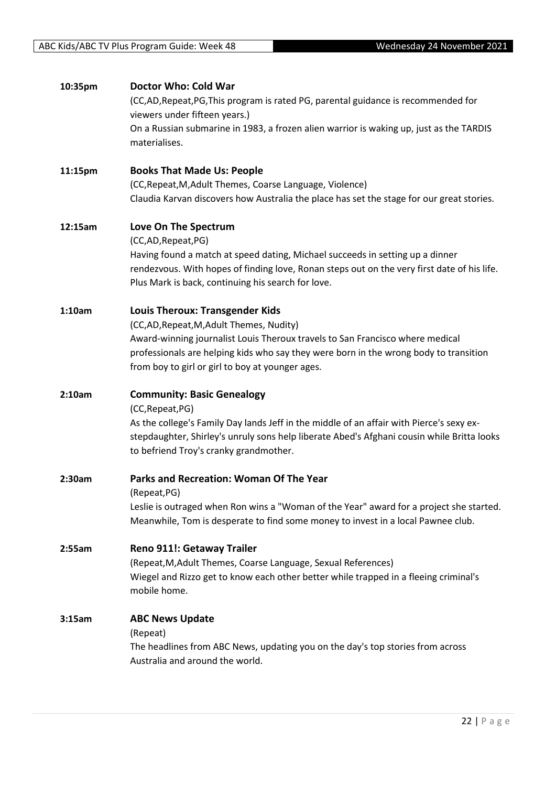| 10:35pm | Doctor Who: Cold War                                                                                 |
|---------|------------------------------------------------------------------------------------------------------|
|         | (CC,AD,Repeat,PG,This program is rated PG, parental guidance is recommended for                      |
|         | viewers under fifteen years.)                                                                        |
|         | On a Russian submarine in 1983, a frozen alien warrior is waking up, just as the TARDIS              |
|         | materialises.                                                                                        |
|         |                                                                                                      |
| 11:15pm | <b>Books That Made Us: People</b>                                                                    |
|         |                                                                                                      |
|         | (CC, Repeat, M, Adult Themes, Coarse Language, Violence)                                             |
|         | Claudia Karvan discovers how Australia the place has set the stage for our great stories.            |
|         |                                                                                                      |
| 12:15am | Love On The Spectrum                                                                                 |
|         | (CC,AD,Repeat,PG)                                                                                    |
|         | Having found a match at speed dating, Michael succeeds in setting up a dinner                        |
|         | rendezvous. With hopes of finding love, Ronan steps out on the very first date of his life.          |
|         | Plus Mark is back, continuing his search for love.                                                   |
|         |                                                                                                      |
| 1:10am  | <b>Louis Theroux: Transgender Kids</b>                                                               |
|         | (CC,AD, Repeat, M, Adult Themes, Nudity)                                                             |
|         | Award-winning journalist Louis Theroux travels to San Francisco where medical                        |
|         | professionals are helping kids who say they were born in the wrong body to transition                |
|         | from boy to girl or girl to boy at younger ages.                                                     |
|         |                                                                                                      |
| 2:10am  | <b>Community: Basic Genealogy</b>                                                                    |
|         | (CC, Repeat, PG)                                                                                     |
|         | As the college's Family Day lands Jeff in the middle of an affair with Pierce's sexy ex-             |
|         | stepdaughter, Shirley's unruly sons help liberate Abed's Afghani cousin while Britta looks           |
|         | to befriend Troy's cranky grandmother.                                                               |
|         |                                                                                                      |
| 2:30am  | <b>Parks and Recreation: Woman Of The Year</b>                                                       |
|         | (Repeat, PG)                                                                                         |
|         | Leslie is outraged when Ron wins a "Woman of the Year" award for a project she started.              |
|         | Meanwhile, Tom is desperate to find some money to invest in a local Pawnee club.                     |
|         |                                                                                                      |
| 2:55am  | Reno 911!: Getaway Trailer                                                                           |
|         | (Repeat, M, Adult Themes, Coarse Language, Sexual References)                                        |
|         |                                                                                                      |
|         | Wiegel and Rizzo get to know each other better while trapped in a fleeing criminal's<br>mobile home. |
|         |                                                                                                      |
|         |                                                                                                      |
| 3:15am  | <b>ABC News Update</b>                                                                               |
|         | (Repeat)                                                                                             |
|         | The headlines from ABC News, updating you on the day's top stories from across                       |
|         | Australia and around the world.                                                                      |
|         |                                                                                                      |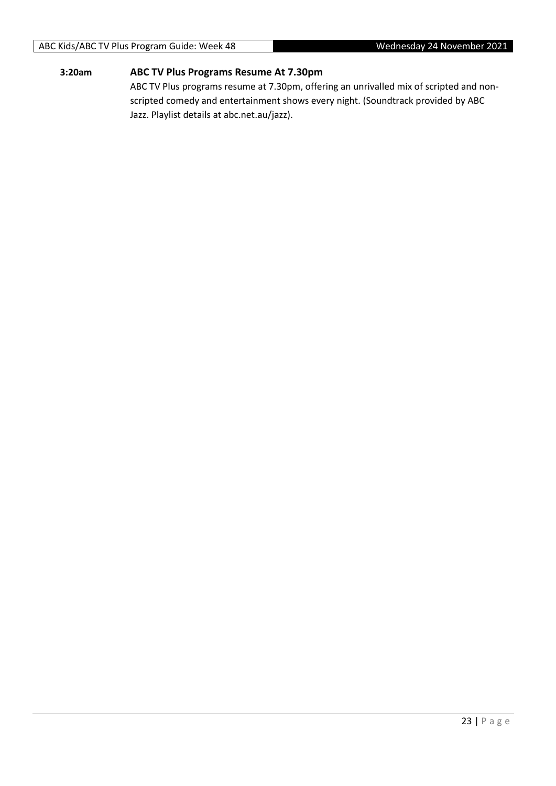#### ABC Kids/ABC TV Plus Program Guide: Week 48 Wednesday 24 November 2021

#### **3:20am ABC TV Plus Programs Resume At 7.30pm**

ABC TV Plus programs resume at 7.30pm, offering an unrivalled mix of scripted and nonscripted comedy and entertainment shows every night. (Soundtrack provided by ABC Jazz. Playlist details at abc.net.au/jazz).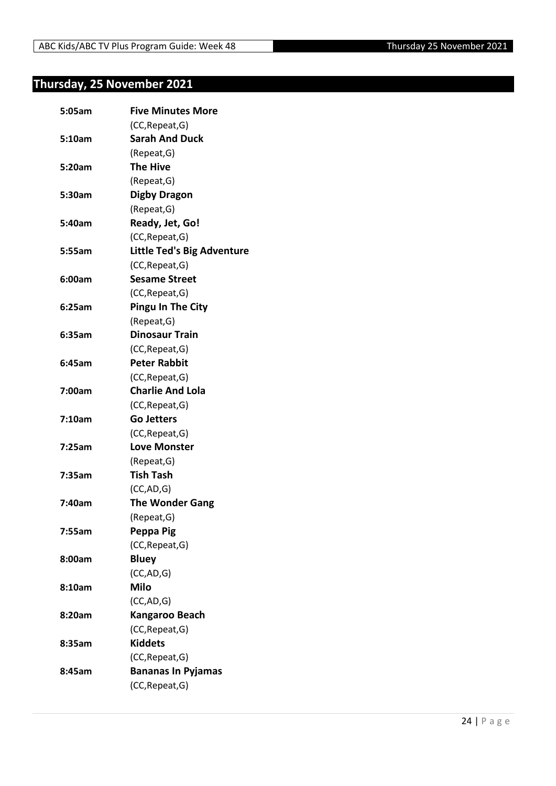## <span id="page-23-0"></span>**Thursday, 25 November 2021**

| 5:05am | <b>Five Minutes More</b>          |
|--------|-----------------------------------|
|        | (CC, Repeat, G)                   |
| 5:10am | <b>Sarah And Duck</b>             |
|        | (Repeat, G)                       |
| 5:20am | <b>The Hive</b>                   |
|        | (Repeat, G)                       |
| 5:30am | <b>Digby Dragon</b>               |
|        | (Repeat, G)                       |
| 5:40am | Ready, Jet, Go!                   |
|        | (CC, Repeat, G)                   |
| 5:55am | <b>Little Ted's Big Adventure</b> |
|        | (CC, Repeat, G)                   |
| 6:00am | <b>Sesame Street</b>              |
|        | (CC, Repeat, G)                   |
| 6:25am | <b>Pingu In The City</b>          |
|        | (Repeat, G)                       |
| 6:35am | <b>Dinosaur Train</b>             |
|        | (CC, Repeat, G)                   |
| 6:45am | <b>Peter Rabbit</b>               |
|        | (CC, Repeat, G)                   |
| 7:00am | <b>Charlie And Lola</b>           |
|        | (CC, Repeat, G)                   |
| 7:10am | <b>Go Jetters</b>                 |
|        | (CC, Repeat, G)                   |
| 7:25am | <b>Love Monster</b>               |
|        | (Repeat, G)                       |
| 7:35am | <b>Tish Tash</b>                  |
|        | (CC, AD, G)                       |
| 7:40am | <b>The Wonder Gang</b>            |
|        | (Repeat, G)                       |
| 7:55am | Peppa Pig                         |
|        | (CC, Repeat, G)                   |
| 8:00am | <b>Bluey</b>                      |
|        | (CC, AD, G)                       |
| 8:10am | <b>Milo</b>                       |
|        | (CC,AD,G)                         |
| 8:20am | <b>Kangaroo Beach</b>             |
|        | (CC, Repeat, G)                   |
| 8:35am | <b>Kiddets</b>                    |
|        | (CC, Repeat, G)                   |
| 8:45am | <b>Bananas In Pyjamas</b>         |
|        | (CC, Repeat, G)                   |
|        |                                   |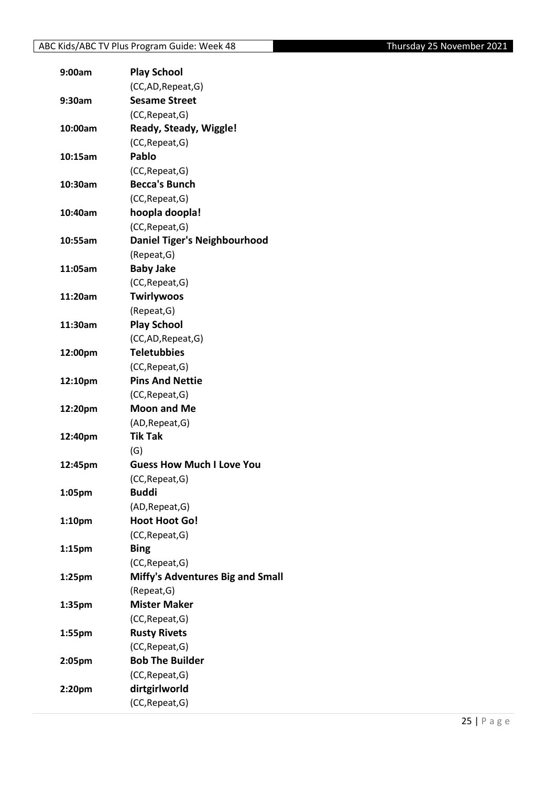| 9:00am             | <b>Play School</b>                      |
|--------------------|-----------------------------------------|
|                    | (CC,AD, Repeat, G)                      |
| 9:30am             | <b>Sesame Street</b>                    |
|                    | (CC, Repeat, G)                         |
| 10:00am            | Ready, Steady, Wiggle!                  |
|                    | (CC, Repeat, G)                         |
| 10:15am            | Pablo                                   |
|                    | (CC, Repeat, G)                         |
| 10:30am            | <b>Becca's Bunch</b>                    |
|                    | (CC, Repeat, G)                         |
| 10:40am            | hoopla doopla!                          |
|                    | (CC, Repeat, G)                         |
| 10:55am            | <b>Daniel Tiger's Neighbourhood</b>     |
|                    | (Repeat, G)                             |
| 11:05am            | <b>Baby Jake</b>                        |
|                    | (CC, Repeat, G)                         |
| 11:20am            | <b>Twirlywoos</b>                       |
|                    | (Repeat, G)                             |
| 11:30am            | <b>Play School</b>                      |
|                    | (CC,AD, Repeat, G)                      |
| 12:00pm            | <b>Teletubbies</b>                      |
|                    | (CC, Repeat, G)                         |
| 12:10pm            | <b>Pins And Nettie</b>                  |
|                    | (CC, Repeat, G)                         |
| 12:20pm            | <b>Moon and Me</b>                      |
|                    | (AD, Repeat, G)                         |
| 12:40pm            | Tik Tak                                 |
|                    | (G)                                     |
| 12:45pm            | <b>Guess How Much I Love You</b>        |
|                    | (CC, Repeat, G)                         |
| 1:05pm             | <b>Buddi</b>                            |
|                    | (AD, Repeat, G)                         |
| 1:10pm             | <b>Hoot Hoot Go!</b>                    |
|                    | (CC, Repeat, G)                         |
| 1:15 <sub>pm</sub> | <b>Bing</b>                             |
|                    | (CC, Repeat, G)                         |
| 1:25 <sub>pm</sub> | <b>Miffy's Adventures Big and Small</b> |
|                    | (Repeat, G)                             |
| 1:35pm             | <b>Mister Maker</b>                     |
|                    | (CC, Repeat, G)                         |
| 1:55pm             | <b>Rusty Rivets</b>                     |
|                    | (CC, Repeat, G)                         |
| 2:05pm             | <b>Bob The Builder</b>                  |
|                    | (CC, Repeat, G)                         |
| 2:20pm             | dirtgirlworld                           |
|                    | (CC, Repeat, G)                         |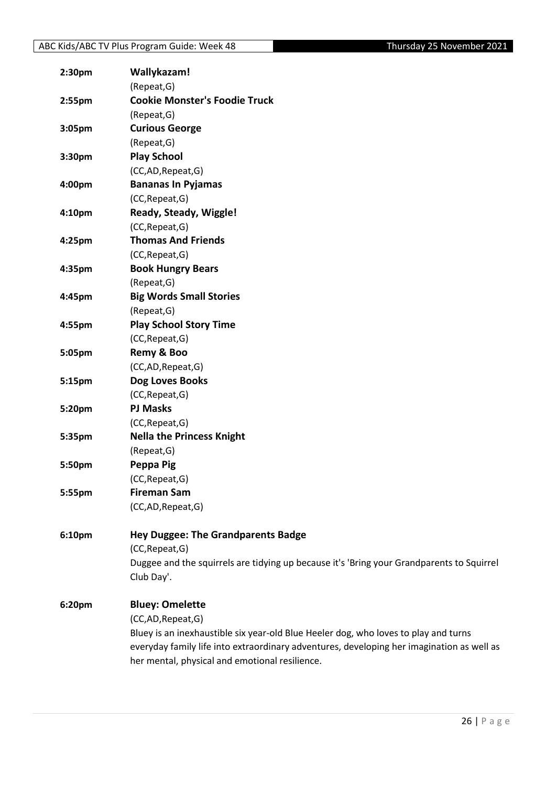| 2:30 <sub>pm</sub> | Wallykazam!                                                                               |
|--------------------|-------------------------------------------------------------------------------------------|
|                    | (Repeat, G)                                                                               |
| 2:55 <sub>pm</sub> | <b>Cookie Monster's Foodie Truck</b>                                                      |
|                    | (Repeat, G)                                                                               |
| 3:05pm             | <b>Curious George</b>                                                                     |
|                    | (Repeat, G)                                                                               |
| 3:30pm             | <b>Play School</b>                                                                        |
|                    | (CC,AD,Repeat,G)                                                                          |
| 4:00pm             | <b>Bananas In Pyjamas</b>                                                                 |
|                    | (CC, Repeat, G)                                                                           |
| 4:10pm             | Ready, Steady, Wiggle!                                                                    |
|                    | (CC, Repeat, G)                                                                           |
| 4:25pm             | <b>Thomas And Friends</b>                                                                 |
|                    | (CC, Repeat, G)                                                                           |
| 4:35pm             | <b>Book Hungry Bears</b>                                                                  |
|                    | (Repeat, G)                                                                               |
| 4:45pm             | <b>Big Words Small Stories</b>                                                            |
|                    | (Repeat, G)                                                                               |
| 4:55pm             | <b>Play School Story Time</b>                                                             |
|                    | (CC, Repeat, G)                                                                           |
| 5:05pm             | Remy & Boo                                                                                |
|                    | (CC,AD,Repeat,G)                                                                          |
| 5:15pm             | Dog Loves Books                                                                           |
|                    | (CC, Repeat, G)                                                                           |
| 5:20pm             | <b>PJ Masks</b>                                                                           |
|                    | (CC, Repeat, G)                                                                           |
| 5:35pm             | <b>Nella the Princess Knight</b>                                                          |
|                    | (Repeat, G)                                                                               |
| 5:50pm             | Peppa Pig                                                                                 |
|                    | (CC, Repeat, G)                                                                           |
| 5:55pm             | <b>Fireman Sam</b>                                                                        |
|                    | (CC,AD,Repeat,G)                                                                          |
| 6:10pm             | <b>Hey Duggee: The Grandparents Badge</b>                                                 |
|                    | (CC, Repeat, G)                                                                           |
|                    | Duggee and the squirrels are tidying up because it's 'Bring your Grandparents to Squirrel |
|                    | Club Day'.                                                                                |
| 6:20pm             | <b>Bluey: Omelette</b>                                                                    |
|                    | (CC,AD,Repeat,G)                                                                          |
|                    | Bluey is an inexhaustible six year-old Blue Heeler dog, who loves to play and turns       |
|                    | everyday family life into extraordinary adventures, developing her imagination as well as |
|                    | her mental, physical and emotional resilience.                                            |
|                    |                                                                                           |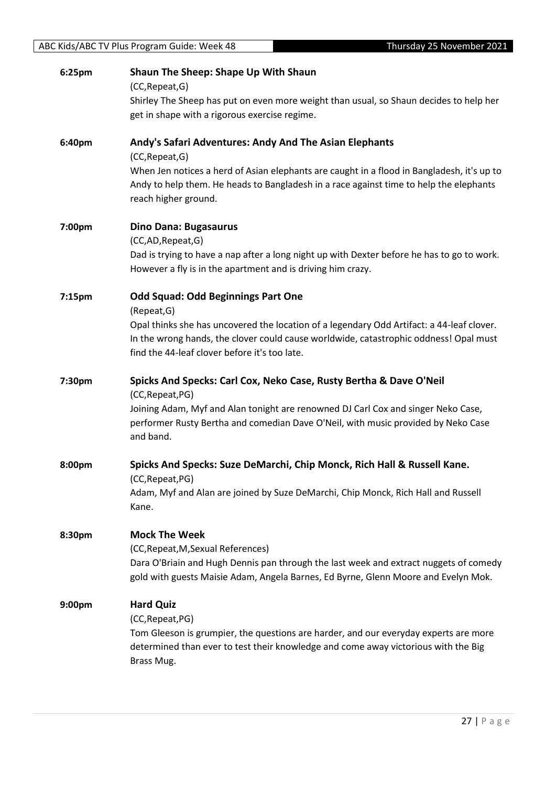| 6:25pm | <b>Shaun The Sheep: Shape Up With Shaun</b><br>(CC, Repeat, G)<br>Shirley The Sheep has put on even more weight than usual, so Shaun decides to help her<br>get in shape with a rigorous exercise regime.                                                                                       |
|--------|-------------------------------------------------------------------------------------------------------------------------------------------------------------------------------------------------------------------------------------------------------------------------------------------------|
| 6:40pm | Andy's Safari Adventures: Andy And The Asian Elephants<br>(CC, Repeat, G)<br>When Jen notices a herd of Asian elephants are caught in a flood in Bangladesh, it's up to<br>Andy to help them. He heads to Bangladesh in a race against time to help the elephants<br>reach higher ground.       |
| 7:00pm | <b>Dino Dana: Bugasaurus</b><br>(CC,AD, Repeat, G)<br>Dad is trying to have a nap after a long night up with Dexter before he has to go to work.<br>However a fly is in the apartment and is driving him crazy.                                                                                 |
| 7:15pm | <b>Odd Squad: Odd Beginnings Part One</b><br>(Repeat, G)<br>Opal thinks she has uncovered the location of a legendary Odd Artifact: a 44-leaf clover.<br>In the wrong hands, the clover could cause worldwide, catastrophic oddness! Opal must<br>find the 44-leaf clover before it's too late. |
| 7:30pm | Spicks And Specks: Carl Cox, Neko Case, Rusty Bertha & Dave O'Neil<br>(CC, Repeat, PG)<br>Joining Adam, Myf and Alan tonight are renowned DJ Carl Cox and singer Neko Case,<br>performer Rusty Bertha and comedian Dave O'Neil, with music provided by Neko Case<br>and band.                   |
| 8:00pm | Spicks And Specks: Suze DeMarchi, Chip Monck, Rich Hall & Russell Kane.<br>(CC, Repeat, PG)<br>Adam, Myf and Alan are joined by Suze DeMarchi, Chip Monck, Rich Hall and Russell<br>Kane.                                                                                                       |
| 8:30pm | <b>Mock The Week</b><br>(CC, Repeat, M, Sexual References)<br>Dara O'Briain and Hugh Dennis pan through the last week and extract nuggets of comedy<br>gold with guests Maisie Adam, Angela Barnes, Ed Byrne, Glenn Moore and Evelyn Mok.                                                       |
| 9:00pm | <b>Hard Quiz</b><br>(CC, Repeat, PG)<br>Tom Gleeson is grumpier, the questions are harder, and our everyday experts are more<br>determined than ever to test their knowledge and come away victorious with the Big<br>Brass Mug.                                                                |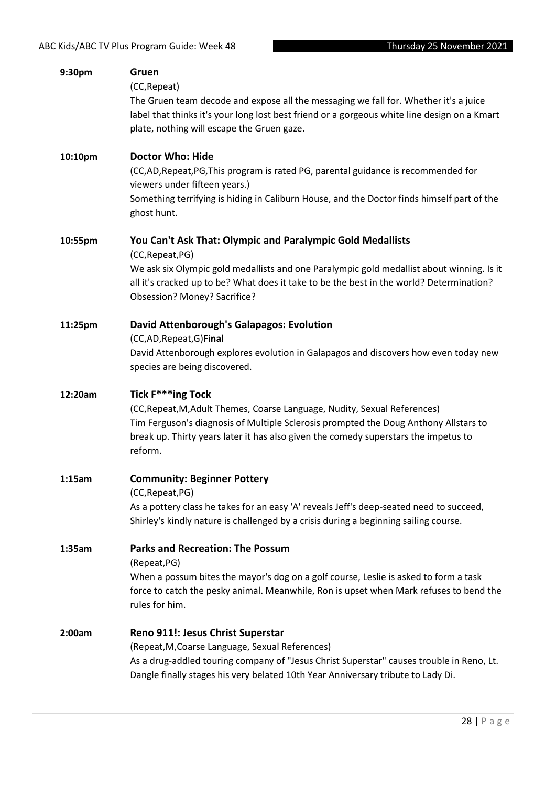| 9:30pm  | Gruen                                                                                                                                                                        |
|---------|------------------------------------------------------------------------------------------------------------------------------------------------------------------------------|
|         | (CC, Repeat)                                                                                                                                                                 |
|         | The Gruen team decode and expose all the messaging we fall for. Whether it's a juice                                                                                         |
|         | label that thinks it's your long lost best friend or a gorgeous white line design on a Kmart                                                                                 |
|         | plate, nothing will escape the Gruen gaze.                                                                                                                                   |
| 10:10pm | <b>Doctor Who: Hide</b>                                                                                                                                                      |
|         | (CC,AD,Repeat,PG,This program is rated PG, parental guidance is recommended for                                                                                              |
|         | viewers under fifteen years.)                                                                                                                                                |
|         | Something terrifying is hiding in Caliburn House, and the Doctor finds himself part of the                                                                                   |
|         | ghost hunt.                                                                                                                                                                  |
| 10:55pm | You Can't Ask That: Olympic and Paralympic Gold Medallists                                                                                                                   |
|         | (CC, Repeat, PG)                                                                                                                                                             |
|         | We ask six Olympic gold medallists and one Paralympic gold medallist about winning. Is it                                                                                    |
|         | all it's cracked up to be? What does it take to be the best in the world? Determination?                                                                                     |
|         | Obsession? Money? Sacrifice?                                                                                                                                                 |
| 11:25pm | <b>David Attenborough's Galapagos: Evolution</b>                                                                                                                             |
|         | (CC,AD, Repeat, G) Final                                                                                                                                                     |
|         | David Attenborough explores evolution in Galapagos and discovers how even today new                                                                                          |
|         | species are being discovered.                                                                                                                                                |
|         |                                                                                                                                                                              |
| 12:20am | Tick F***ing Tock                                                                                                                                                            |
|         | (CC, Repeat, M, Adult Themes, Coarse Language, Nudity, Sexual References)                                                                                                    |
|         | Tim Ferguson's diagnosis of Multiple Sclerosis prompted the Doug Anthony Allstars to                                                                                         |
|         | break up. Thirty years later it has also given the comedy superstars the impetus to                                                                                          |
|         | reform.                                                                                                                                                                      |
| 1:15am  |                                                                                                                                                                              |
|         | <b>Community: Beginner Pottery</b><br>(CC, Repeat, PG)                                                                                                                       |
|         | As a pottery class he takes for an easy 'A' reveals Jeff's deep-seated need to succeed,                                                                                      |
|         | Shirley's kindly nature is challenged by a crisis during a beginning sailing course.                                                                                         |
| 1:35am  | <b>Parks and Recreation: The Possum</b>                                                                                                                                      |
|         | (Repeat, PG)                                                                                                                                                                 |
|         | When a possum bites the mayor's dog on a golf course, Leslie is asked to form a task                                                                                         |
|         | force to catch the pesky animal. Meanwhile, Ron is upset when Mark refuses to bend the                                                                                       |
|         | rules for him.                                                                                                                                                               |
| 2:00am  | Reno 911!: Jesus Christ Superstar                                                                                                                                            |
|         | (Repeat, M, Coarse Language, Sexual References)                                                                                                                              |
|         | As a drug-addled touring company of "Jesus Christ Superstar" causes trouble in Reno, Lt.<br>Dangle finally stages his very belated 10th Year Anniversary tribute to Lady Di. |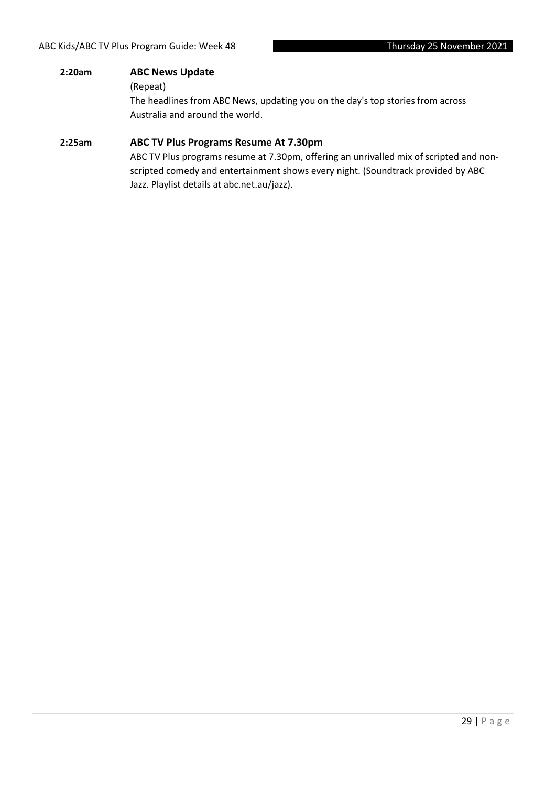#### **2:20am ABC News Update**

#### (Repeat)

The headlines from ABC News, updating you on the day's top stories from across Australia and around the world.

#### **2:25am ABC TV Plus Programs Resume At 7.30pm**

ABC TV Plus programs resume at 7.30pm, offering an unrivalled mix of scripted and nonscripted comedy and entertainment shows every night. (Soundtrack provided by ABC Jazz. Playlist details at abc.net.au/jazz).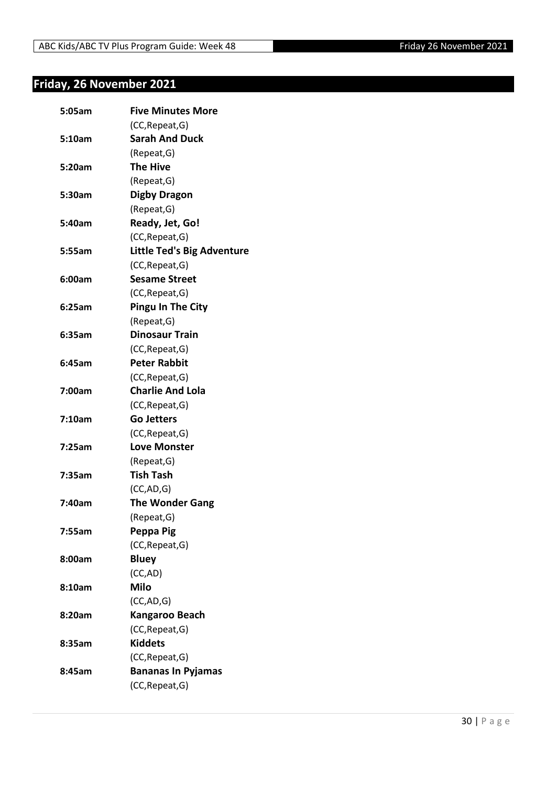## <span id="page-29-0"></span>**Friday, 26 November 2021**

| 5:05am | <b>Five Minutes More</b>          |
|--------|-----------------------------------|
|        | (CC, Repeat, G)                   |
| 5:10am | <b>Sarah And Duck</b>             |
|        | (Repeat, G)                       |
| 5:20am | <b>The Hive</b>                   |
|        | (Repeat, G)                       |
| 5:30am | <b>Digby Dragon</b>               |
|        | (Repeat, G)                       |
| 5:40am | Ready, Jet, Go!                   |
|        | (CC, Repeat, G)                   |
| 5:55am | <b>Little Ted's Big Adventure</b> |
|        | (CC, Repeat, G)                   |
| 6:00am | <b>Sesame Street</b>              |
|        | (CC, Repeat, G)                   |
| 6:25am | <b>Pingu In The City</b>          |
|        | (Repeat, G)                       |
| 6:35am | <b>Dinosaur Train</b>             |
|        | (CC, Repeat, G)                   |
| 6:45am | <b>Peter Rabbit</b>               |
|        | (CC, Repeat, G)                   |
| 7:00am | <b>Charlie And Lola</b>           |
|        | (CC, Repeat, G)                   |
| 7:10am | <b>Go Jetters</b>                 |
|        | (CC, Repeat, G)                   |
| 7:25am | <b>Love Monster</b>               |
|        | (Repeat, G)                       |
| 7:35am | <b>Tish Tash</b>                  |
|        | (CC, AD, G)                       |
| 7:40am | <b>The Wonder Gang</b>            |
|        | (Repeat, G)                       |
| 7:55am | Peppa Pig                         |
|        | (CC, Repeat, G)                   |
| 8:00am | <b>Bluey</b>                      |
|        | (CC,AD)                           |
| 8:10am | <b>Milo</b>                       |
|        | (CC,AD,G)                         |
| 8:20am | Kangaroo Beach                    |
|        | (CC, Repeat, G)                   |
| 8:35am | <b>Kiddets</b>                    |
|        | (CC, Repeat, G)                   |
| 8:45am | <b>Bananas In Pyjamas</b>         |
|        | (CC, Repeat, G)                   |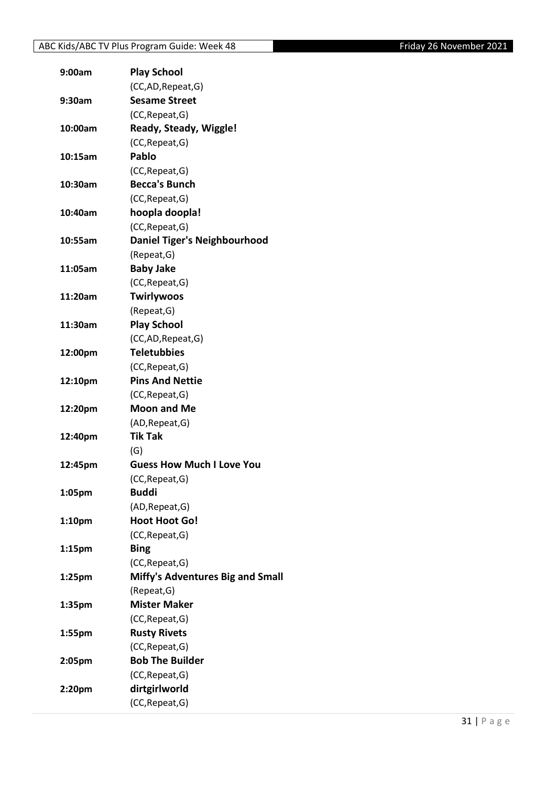| 9:00am             | <b>Play School</b>                      |
|--------------------|-----------------------------------------|
|                    | (CC,AD, Repeat, G)                      |
| 9:30am             | <b>Sesame Street</b>                    |
|                    | (CC, Repeat, G)                         |
| 10:00am            | Ready, Steady, Wiggle!                  |
|                    | (CC, Repeat, G)                         |
| 10:15am            | Pablo                                   |
|                    | (CC, Repeat, G)                         |
| 10:30am            | <b>Becca's Bunch</b>                    |
|                    | (CC, Repeat, G)                         |
| 10:40am            | hoopla doopla!                          |
|                    | (CC, Repeat, G)                         |
| 10:55am            | Daniel Tiger's Neighbourhood            |
|                    | (Repeat, G)                             |
| 11:05am            | <b>Baby Jake</b>                        |
|                    | (CC, Repeat, G)                         |
| 11:20am            | <b>Twirlywoos</b>                       |
|                    | (Repeat, G)                             |
| 11:30am            | <b>Play School</b>                      |
|                    | (CC,AD, Repeat, G)                      |
| 12:00pm            | <b>Teletubbies</b>                      |
|                    | (CC, Repeat, G)                         |
| 12:10pm            | <b>Pins And Nettie</b>                  |
|                    | (CC, Repeat, G)                         |
| 12:20pm            | <b>Moon and Me</b>                      |
|                    | (AD, Repeat, G)                         |
| 12:40pm            | <b>Tik Tak</b>                          |
|                    | (G)                                     |
| 12:45pm            | <b>Guess How Much I Love You</b>        |
|                    | (CC, Repeat, G)                         |
| 1:05pm             | <b>Buddi</b>                            |
|                    | (AD, Repeat, G)                         |
| 1:10 <sub>pm</sub> | <b>Hoot Hoot Go!</b>                    |
|                    | (CC, Repeat, G)                         |
| 1:15 <sub>pm</sub> | <b>Bing</b>                             |
|                    | (CC, Repeat, G)                         |
| 1:25 <sub>pm</sub> | <b>Miffy's Adventures Big and Small</b> |
|                    | (Repeat, G)                             |
| 1:35pm             | <b>Mister Maker</b>                     |
|                    | (CC, Repeat, G)                         |
| 1:55pm             | <b>Rusty Rivets</b>                     |
|                    | (CC, Repeat, G)                         |
| 2:05pm             | <b>Bob The Builder</b>                  |
|                    | (CC, Repeat, G)                         |
| 2:20pm             | dirtgirlworld                           |
|                    | (CC, Repeat, G)                         |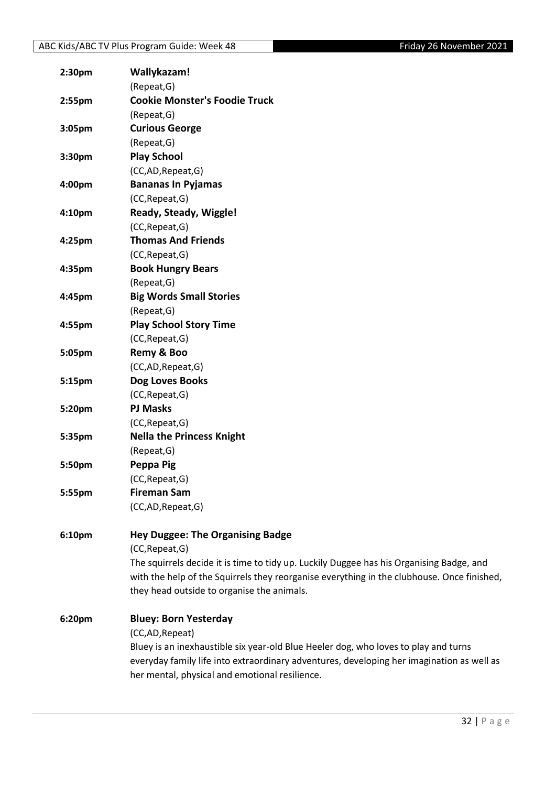| 2:30 <sub>pm</sub> | Wallykazam!                                                                                |
|--------------------|--------------------------------------------------------------------------------------------|
|                    | (Repeat, G)                                                                                |
| 2:55pm             | <b>Cookie Monster's Foodie Truck</b>                                                       |
|                    | (Repeat, G)                                                                                |
| 3:05pm             | <b>Curious George</b>                                                                      |
|                    | (Repeat, G)                                                                                |
| 3:30 <sub>pm</sub> | <b>Play School</b>                                                                         |
|                    | (CC,AD,Repeat,G)                                                                           |
| 4:00pm             | <b>Bananas In Pyjamas</b>                                                                  |
|                    | (CC, Repeat, G)                                                                            |
| 4:10pm             | Ready, Steady, Wiggle!                                                                     |
|                    | (CC, Repeat, G)                                                                            |
| 4:25pm             | <b>Thomas And Friends</b>                                                                  |
|                    | (CC, Repeat, G)                                                                            |
| 4:35pm             | <b>Book Hungry Bears</b>                                                                   |
|                    | (Repeat, G)                                                                                |
| 4:45pm             | <b>Big Words Small Stories</b>                                                             |
|                    | (Repeat, G)                                                                                |
| 4:55pm             | <b>Play School Story Time</b>                                                              |
|                    | (CC, Repeat, G)                                                                            |
| 5:05pm             | Remy & Boo                                                                                 |
|                    | (CC,AD,Repeat,G)                                                                           |
| 5:15pm             | Dog Loves Books                                                                            |
|                    | (CC, Repeat, G)                                                                            |
| 5:20pm             | <b>PJ Masks</b>                                                                            |
|                    | (CC, Repeat, G)                                                                            |
| 5:35pm             | <b>Nella the Princess Knight</b>                                                           |
|                    | (Repeat, G)                                                                                |
| 5:50pm             | Peppa Pig                                                                                  |
|                    | (CC, Repeat, G)                                                                            |
| 5:55pm             | <b>Fireman Sam</b>                                                                         |
|                    | (CC,AD,Repeat,G)                                                                           |
|                    |                                                                                            |
| 6:10pm             | <b>Hey Duggee: The Organising Badge</b>                                                    |
|                    | (CC, Repeat, G)                                                                            |
|                    | The squirrels decide it is time to tidy up. Luckily Duggee has his Organising Badge, and   |
|                    | with the help of the Squirrels they reorganise everything in the clubhouse. Once finished, |
|                    | they head outside to organise the animals.                                                 |
| 6:20pm             | <b>Bluey: Born Yesterday</b>                                                               |
|                    | (CC,AD, Repeat)                                                                            |
|                    | Bluey is an inexhaustible six year-old Blue Heeler dog, who loves to play and turns        |
|                    | everyday family life into extraordinary adventures, developing her imagination as well as  |
|                    | her mental, physical and emotional resilience.                                             |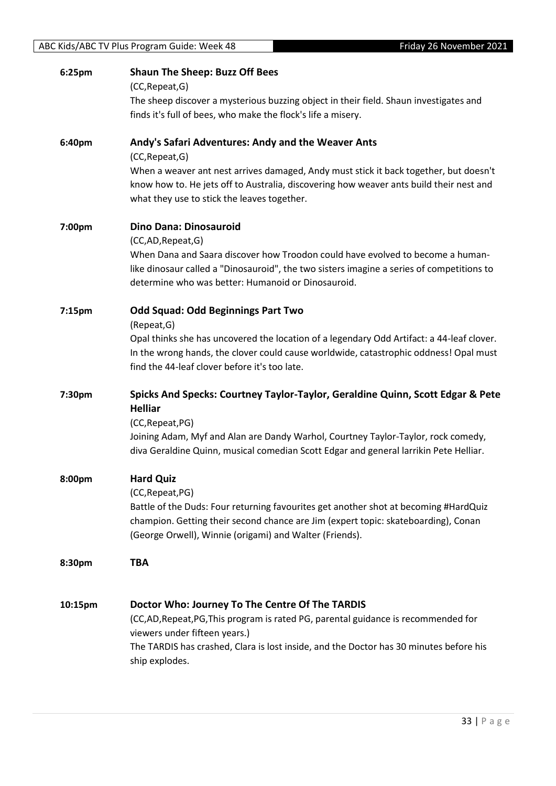| 6:25pm             | <b>Shaun The Sheep: Buzz Off Bees</b>                                                                                                                 |
|--------------------|-------------------------------------------------------------------------------------------------------------------------------------------------------|
|                    | (CC, Repeat, G)                                                                                                                                       |
|                    | The sheep discover a mysterious buzzing object in their field. Shaun investigates and<br>finds it's full of bees, who make the flock's life a misery. |
|                    |                                                                                                                                                       |
| 6:40pm             | Andy's Safari Adventures: Andy and the Weaver Ants                                                                                                    |
|                    | (CC, Repeat, G)                                                                                                                                       |
|                    | When a weaver ant nest arrives damaged, Andy must stick it back together, but doesn't                                                                 |
|                    | know how to. He jets off to Australia, discovering how weaver ants build their nest and                                                               |
|                    | what they use to stick the leaves together.                                                                                                           |
| 7:00pm             | Dino Dana: Dinosauroid                                                                                                                                |
|                    | (CC,AD,Repeat,G)                                                                                                                                      |
|                    | When Dana and Saara discover how Troodon could have evolved to become a human-                                                                        |
|                    | like dinosaur called a "Dinosauroid", the two sisters imagine a series of competitions to                                                             |
|                    | determine who was better: Humanoid or Dinosauroid.                                                                                                    |
| 7:15 <sub>pm</sub> | <b>Odd Squad: Odd Beginnings Part Two</b>                                                                                                             |
|                    | (Repeat, G)                                                                                                                                           |
|                    | Opal thinks she has uncovered the location of a legendary Odd Artifact: a 44-leaf clover.                                                             |
|                    | In the wrong hands, the clover could cause worldwide, catastrophic oddness! Opal must                                                                 |
|                    | find the 44-leaf clover before it's too late.                                                                                                         |
| 7:30pm             | Spicks And Specks: Courtney Taylor-Taylor, Geraldine Quinn, Scott Edgar & Pete                                                                        |
|                    | <b>Helliar</b>                                                                                                                                        |
|                    | (CC, Repeat, PG)                                                                                                                                      |
|                    | Joining Adam, Myf and Alan are Dandy Warhol, Courtney Taylor-Taylor, rock comedy,                                                                     |
|                    | diva Geraldine Quinn, musical comedian Scott Edgar and general larrikin Pete Helliar.                                                                 |
| 8:00pm             | <b>Hard Quiz</b>                                                                                                                                      |
|                    | (CC, Repeat, PG)                                                                                                                                      |
|                    | Battle of the Duds: Four returning favourites get another shot at becoming #HardQuiz                                                                  |
|                    | champion. Getting their second chance are Jim (expert topic: skateboarding), Conan                                                                    |
|                    | (George Orwell), Winnie (origami) and Walter (Friends).                                                                                               |
| 8:30pm             | <b>TBA</b>                                                                                                                                            |
|                    |                                                                                                                                                       |
|                    |                                                                                                                                                       |
| 10:15pm            | Doctor Who: Journey To The Centre Of The TARDIS                                                                                                       |
|                    | (CC,AD,Repeat,PG,This program is rated PG, parental guidance is recommended for<br>viewers under fifteen years.)                                      |
|                    | The TARDIS has crashed, Clara is lost inside, and the Doctor has 30 minutes before his                                                                |
|                    | ship explodes.                                                                                                                                        |
|                    |                                                                                                                                                       |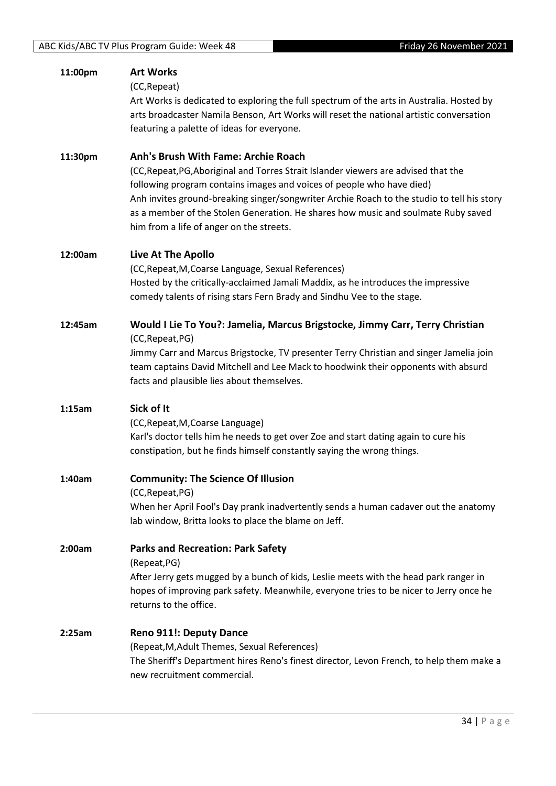| 11:00pm | <b>Art Works</b><br>(CC, Repeat)<br>Art Works is dedicated to exploring the full spectrum of the arts in Australia. Hosted by<br>arts broadcaster Namila Benson, Art Works will reset the national artistic conversation<br>featuring a palette of ideas for everyone.                                                                                                                                                             |
|---------|------------------------------------------------------------------------------------------------------------------------------------------------------------------------------------------------------------------------------------------------------------------------------------------------------------------------------------------------------------------------------------------------------------------------------------|
| 11:30pm | Anh's Brush With Fame: Archie Roach<br>(CC, Repeat, PG, Aboriginal and Torres Strait Islander viewers are advised that the<br>following program contains images and voices of people who have died)<br>Anh invites ground-breaking singer/songwriter Archie Roach to the studio to tell his story<br>as a member of the Stolen Generation. He shares how music and soulmate Ruby saved<br>him from a life of anger on the streets. |
| 12:00am | Live At The Apollo<br>(CC, Repeat, M, Coarse Language, Sexual References)<br>Hosted by the critically-acclaimed Jamali Maddix, as he introduces the impressive<br>comedy talents of rising stars Fern Brady and Sindhu Vee to the stage.                                                                                                                                                                                           |
| 12:45am | Would I Lie To You?: Jamelia, Marcus Brigstocke, Jimmy Carr, Terry Christian<br>(CC, Repeat, PG)<br>Jimmy Carr and Marcus Brigstocke, TV presenter Terry Christian and singer Jamelia join<br>team captains David Mitchell and Lee Mack to hoodwink their opponents with absurd<br>facts and plausible lies about themselves.                                                                                                      |
| 1:15am  | Sick of It<br>(CC, Repeat, M, Coarse Language)<br>Karl's doctor tells him he needs to get over Zoe and start dating again to cure his<br>constipation, but he finds himself constantly saying the wrong things.                                                                                                                                                                                                                    |
| 1:40am  | <b>Community: The Science Of Illusion</b><br>(CC, Repeat, PG)<br>When her April Fool's Day prank inadvertently sends a human cadaver out the anatomy<br>lab window, Britta looks to place the blame on Jeff.                                                                                                                                                                                                                       |
| 2:00am  | <b>Parks and Recreation: Park Safety</b><br>(Repeat, PG)<br>After Jerry gets mugged by a bunch of kids, Leslie meets with the head park ranger in<br>hopes of improving park safety. Meanwhile, everyone tries to be nicer to Jerry once he<br>returns to the office.                                                                                                                                                              |
| 2:25am  | <b>Reno 911!: Deputy Dance</b><br>(Repeat, M, Adult Themes, Sexual References)<br>The Sheriff's Department hires Reno's finest director, Levon French, to help them make a<br>new recruitment commercial.                                                                                                                                                                                                                          |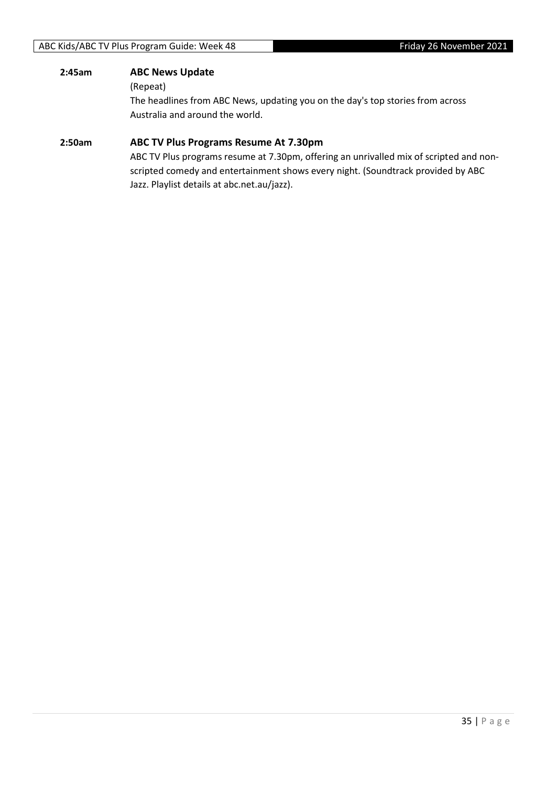#### **2:45am ABC News Update**

(Repeat)

The headlines from ABC News, updating you on the day's top stories from across Australia and around the world.

#### **2:50am ABC TV Plus Programs Resume At 7.30pm**

ABC TV Plus programs resume at 7.30pm, offering an unrivalled mix of scripted and nonscripted comedy and entertainment shows every night. (Soundtrack provided by ABC Jazz. Playlist details at abc.net.au/jazz).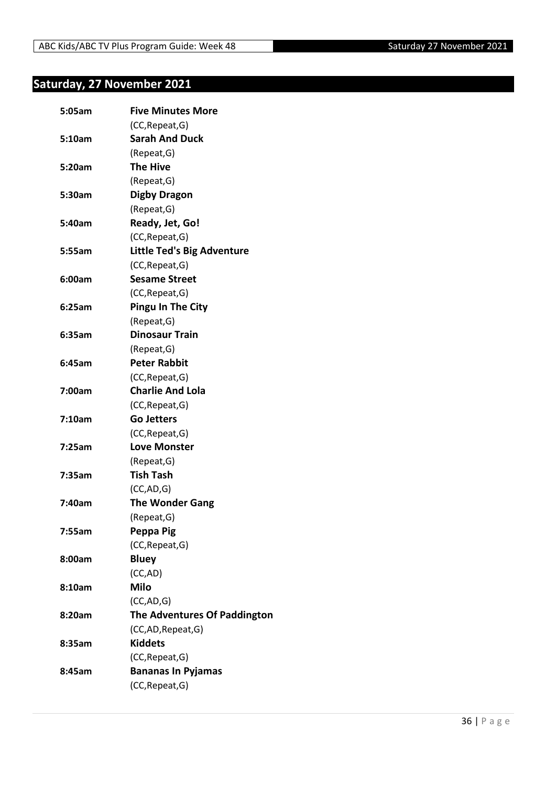## <span id="page-35-0"></span>**Saturday, 27 November 2021**

| 5:05am | <b>Five Minutes More</b>          |
|--------|-----------------------------------|
|        | (CC, Repeat, G)                   |
| 5:10am | <b>Sarah And Duck</b>             |
|        | (Repeat, G)                       |
| 5:20am | <b>The Hive</b>                   |
|        | (Repeat, G)                       |
| 5:30am | <b>Digby Dragon</b>               |
|        | (Repeat, G)                       |
| 5:40am | Ready, Jet, Go!                   |
|        | (CC, Repeat, G)                   |
| 5:55am | <b>Little Ted's Big Adventure</b> |
|        | (CC, Repeat, G)                   |
| 6:00am | <b>Sesame Street</b>              |
|        | (CC, Repeat, G)                   |
| 6:25am | <b>Pingu In The City</b>          |
|        | (Repeat, G)                       |
| 6:35am | <b>Dinosaur Train</b>             |
|        | (Repeat, G)                       |
| 6:45am | <b>Peter Rabbit</b>               |
|        | (CC, Repeat, G)                   |
| 7:00am | <b>Charlie And Lola</b>           |
|        | (CC, Repeat, G)                   |
| 7:10am | <b>Go Jetters</b>                 |
|        | (CC, Repeat, G)                   |
| 7:25am | <b>Love Monster</b>               |
|        | (Repeat, G)                       |
| 7:35am | <b>Tish Tash</b>                  |
|        | (CC, AD, G)                       |
| 7:40am | <b>The Wonder Gang</b>            |
|        | (Repeat, G)                       |
| 7:55am | Peppa Pig                         |
|        | (CC, Repeat, G)                   |
| 8:00am | <b>Bluey</b>                      |
|        | (CC, AD)                          |
| 8:10am | <b>Milo</b>                       |
|        | (CC, AD, G)                       |
| 8:20am | The Adventures Of Paddington      |
|        | (CC,AD,Repeat,G)                  |
| 8:35am | <b>Kiddets</b>                    |
|        | (CC, Repeat, G)                   |
| 8:45am | <b>Bananas In Pyjamas</b>         |
|        | (CC, Repeat, G)                   |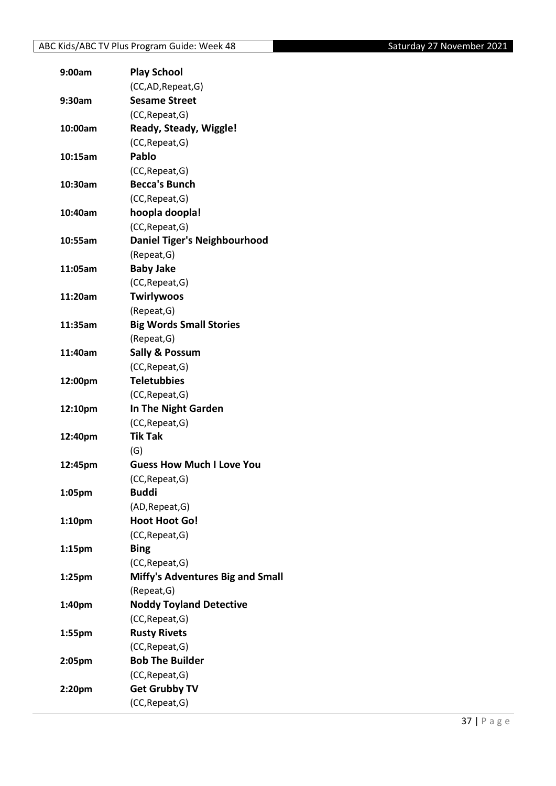| 9:00am             | <b>Play School</b>                      |
|--------------------|-----------------------------------------|
|                    | (CC,AD, Repeat, G)                      |
| 9:30am             | <b>Sesame Street</b>                    |
|                    | (CC, Repeat, G)                         |
| 10:00am            | Ready, Steady, Wiggle!                  |
|                    | (CC, Repeat, G)                         |
| 10:15am            | Pablo                                   |
|                    | (CC, Repeat, G)                         |
| 10:30am            | <b>Becca's Bunch</b>                    |
|                    | (CC, Repeat, G)                         |
| 10:40am            | hoopla doopla!                          |
|                    | (CC, Repeat, G)                         |
| 10:55am            | <b>Daniel Tiger's Neighbourhood</b>     |
|                    | (Repeat, G)                             |
| 11:05am            | <b>Baby Jake</b>                        |
|                    | (CC, Repeat, G)                         |
| 11:20am            | Twirlywoos                              |
|                    | (Repeat, G)                             |
| 11:35am            | <b>Big Words Small Stories</b>          |
|                    | (Repeat, G)                             |
| 11:40am            | <b>Sally &amp; Possum</b>               |
|                    | (CC, Repeat, G)                         |
| 12:00pm            | <b>Teletubbies</b>                      |
|                    | (CC, Repeat, G)                         |
| 12:10pm            | In The Night Garden                     |
|                    | (CC, Repeat, G)                         |
| 12:40pm            | <b>Tik Tak</b>                          |
|                    | (G)                                     |
| 12:45pm            | <b>Guess How Much I Love You</b>        |
|                    | (CC, Repeat, G)                         |
| 1:05pm             | <b>Buddi</b>                            |
|                    | (AD, Repeat, G)                         |
| 1:10 <sub>pm</sub> | <b>Hoot Hoot Go!</b>                    |
|                    | (CC, Repeat, G)                         |
| 1:15 <sub>pm</sub> | <b>Bing</b>                             |
|                    | (CC, Repeat, G)                         |
| 1:25pm             | <b>Miffy's Adventures Big and Small</b> |
|                    | (Repeat, G)                             |
| 1:40pm             | <b>Noddy Toyland Detective</b>          |
|                    | (CC, Repeat, G)                         |
| 1:55pm             | <b>Rusty Rivets</b>                     |
|                    | (CC, Repeat, G)                         |
| 2:05pm             | <b>Bob The Builder</b>                  |
|                    | (CC, Repeat, G)                         |
| 2:20pm             | <b>Get Grubby TV</b>                    |
|                    | (CC, Repeat, G)                         |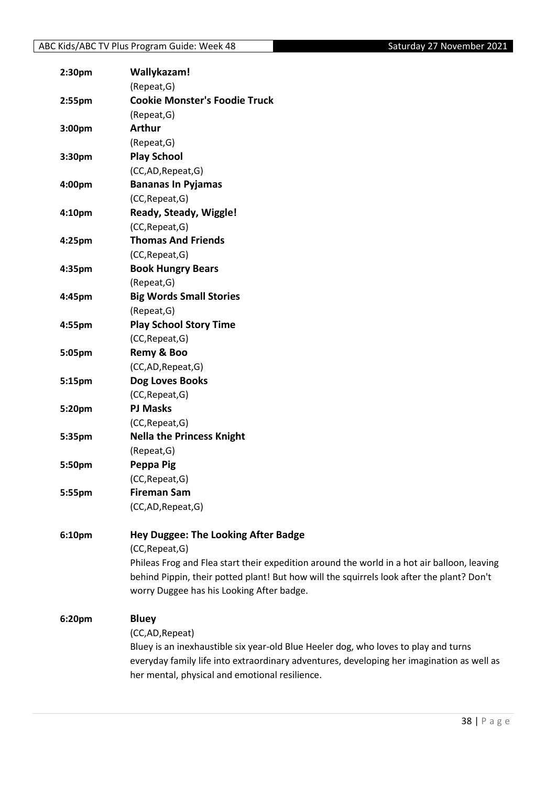| 2:30 <sub>pm</sub> | Wallykazam!                                                                                 |
|--------------------|---------------------------------------------------------------------------------------------|
|                    | (Repeat, G)                                                                                 |
| 2:55pm             | <b>Cookie Monster's Foodie Truck</b>                                                        |
|                    | (Repeat, G)                                                                                 |
| 3:00pm             | <b>Arthur</b>                                                                               |
|                    | (Repeat, G)                                                                                 |
| 3:30pm             | <b>Play School</b>                                                                          |
|                    | (CC,AD,Repeat,G)                                                                            |
| 4:00pm             | <b>Bananas In Pyjamas</b>                                                                   |
|                    | (CC, Repeat, G)                                                                             |
| 4:10pm             | Ready, Steady, Wiggle!                                                                      |
|                    | (CC, Repeat, G)                                                                             |
| 4:25pm             | <b>Thomas And Friends</b>                                                                   |
|                    | (CC, Repeat, G)                                                                             |
| 4:35pm             | <b>Book Hungry Bears</b>                                                                    |
|                    | (Repeat, G)                                                                                 |
| 4:45pm             | <b>Big Words Small Stories</b>                                                              |
|                    | (Repeat, G)                                                                                 |
| 4:55pm             | <b>Play School Story Time</b>                                                               |
|                    | (CC, Repeat, G)                                                                             |
| 5:05pm             | Remy & Boo                                                                                  |
|                    | (CC,AD,Repeat,G)                                                                            |
| 5:15pm             | <b>Dog Loves Books</b>                                                                      |
|                    | (CC, Repeat, G)                                                                             |
| 5:20pm             | <b>PJ Masks</b>                                                                             |
|                    | (CC, Repeat, G)                                                                             |
| 5:35pm             | <b>Nella the Princess Knight</b>                                                            |
|                    | (Repeat, G)                                                                                 |
| 5:50pm             | Peppa Pig                                                                                   |
|                    | (CC, Repeat, G)                                                                             |
| 5:55pm             | <b>Fireman Sam</b>                                                                          |
|                    | (CC,AD,Repeat,G)                                                                            |
|                    |                                                                                             |
| 6:10pm             | <b>Hey Duggee: The Looking After Badge</b>                                                  |
|                    | (CC, Repeat, G)                                                                             |
|                    | Phileas Frog and Flea start their expedition around the world in a hot air balloon, leaving |
|                    | behind Pippin, their potted plant! But how will the squirrels look after the plant? Don't   |
|                    | worry Duggee has his Looking After badge.                                                   |
| 6:20pm             | <b>Bluey</b>                                                                                |
|                    | (CC,AD, Repeat)                                                                             |
|                    | Bluey is an inexhaustible six year-old Blue Heeler dog, who loves to play and turns         |
|                    | everyday family life into extraordinary adventures, developing her imagination as well as   |
|                    | her mental, physical and emotional resilience.                                              |
|                    |                                                                                             |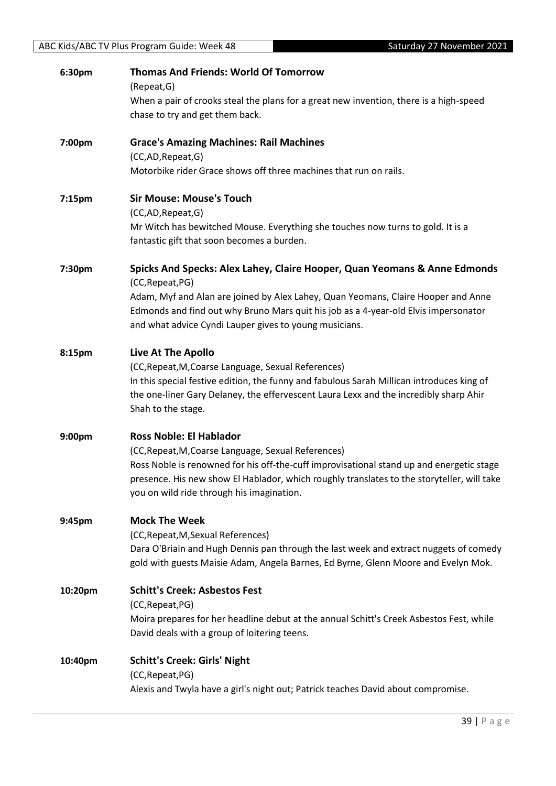| 6:30pm             | <b>Thomas And Friends: World Of Tomorrow</b>                                               |
|--------------------|--------------------------------------------------------------------------------------------|
|                    | (Repeat, G)                                                                                |
|                    | When a pair of crooks steal the plans for a great new invention, there is a high-speed     |
|                    | chase to try and get them back.                                                            |
| 7:00pm             | <b>Grace's Amazing Machines: Rail Machines</b>                                             |
|                    | (CC,AD, Repeat, G)                                                                         |
|                    | Motorbike rider Grace shows off three machines that run on rails.                          |
| 7:15 <sub>pm</sub> | <b>Sir Mouse: Mouse's Touch</b>                                                            |
|                    | (CC,AD,Repeat,G)                                                                           |
|                    | Mr Witch has bewitched Mouse. Everything she touches now turns to gold. It is a            |
|                    | fantastic gift that soon becomes a burden.                                                 |
| 7:30pm             | Spicks And Specks: Alex Lahey, Claire Hooper, Quan Yeomans & Anne Edmonds                  |
|                    | (CC, Repeat, PG)                                                                           |
|                    | Adam, Myf and Alan are joined by Alex Lahey, Quan Yeomans, Claire Hooper and Anne          |
|                    | Edmonds and find out why Bruno Mars quit his job as a 4-year-old Elvis impersonator        |
|                    | and what advice Cyndi Lauper gives to young musicians.                                     |
| 8:15pm             | Live At The Apollo                                                                         |
|                    | (CC, Repeat, M, Coarse Language, Sexual References)                                        |
|                    | In this special festive edition, the funny and fabulous Sarah Millican introduces king of  |
|                    | the one-liner Gary Delaney, the effervescent Laura Lexx and the incredibly sharp Ahir      |
|                    | Shah to the stage.                                                                         |
| 9:00pm             | <b>Ross Noble: El Hablador</b>                                                             |
|                    | (CC, Repeat, M, Coarse Language, Sexual References)                                        |
|                    | Ross Noble is renowned for his off-the-cuff improvisational stand up and energetic stage   |
|                    | presence. His new show El Hablador, which roughly translates to the storyteller, will take |
|                    | you on wild ride through his imagination.                                                  |
| 9:45pm             | <b>Mock The Week</b>                                                                       |
|                    | (CC, Repeat, M, Sexual References)                                                         |
|                    | Dara O'Briain and Hugh Dennis pan through the last week and extract nuggets of comedy      |
|                    | gold with guests Maisie Adam, Angela Barnes, Ed Byrne, Glenn Moore and Evelyn Mok.         |
| 10:20pm            | <b>Schitt's Creek: Asbestos Fest</b>                                                       |
|                    | (CC, Repeat, PG)                                                                           |
|                    | Moira prepares for her headline debut at the annual Schitt's Creek Asbestos Fest, while    |
|                    | David deals with a group of loitering teens.                                               |
| 10:40pm            | <b>Schitt's Creek: Girls' Night</b>                                                        |
|                    | (CC, Repeat, PG)                                                                           |
|                    | Alexis and Twyla have a girl's night out; Patrick teaches David about compromise.          |
|                    |                                                                                            |